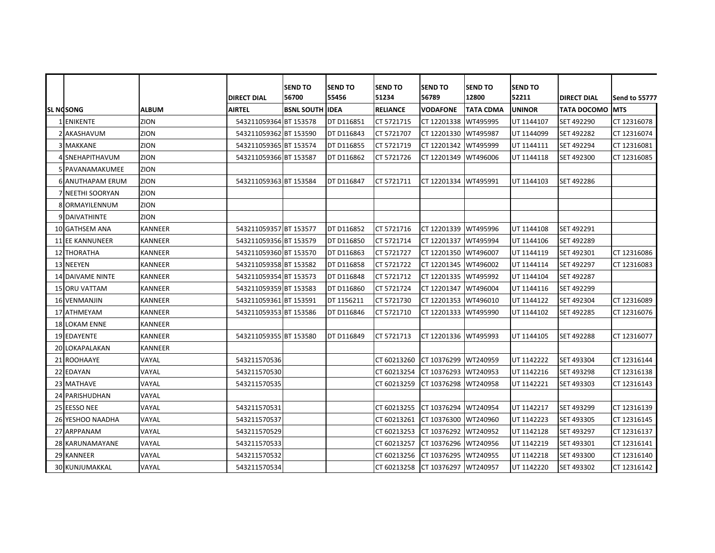|    |                         |                |                        | <b>SEND TO</b>         | <b>SEND TO</b>    | <b>SEND TO</b>  | <b>SEND TO</b>       | <b>SEND TO</b>   | <b>SEND TO</b> |                         |                |
|----|-------------------------|----------------|------------------------|------------------------|-------------------|-----------------|----------------------|------------------|----------------|-------------------------|----------------|
|    |                         |                | <b>DIRECT DIAL</b>     | 56700                  | 55456             | 51234           | 56789                | 12800            | 52211          | <b>DIRECT DIAL</b>      | lSend to 55777 |
|    | SL NOSONG               | <b>ALBUM</b>   | <b>AIRTEL</b>          | <b>BSNL SOUTH IDEA</b> |                   | <b>RELIANCE</b> | <b>VODAFONE</b>      | <b>TATA CDMA</b> | <b>UNINOR</b>  | <b>TATA DOCOMO IMTS</b> |                |
|    | 1 ENIKENTE              | ZION           | 543211059364 BT 153578 |                        | DT D116851        | CT 5721715      | CT 12201338          | WT495995         | UT 1144107     | SET 492290              | CT 12316078    |
|    | AKASHAVUM               | ZION           | 543211059362 BT 153590 |                        | DT D116843        | CT 5721707      | CT 12201330          | WT495987         | UT 1144099     | SET 492282              | CT 12316074    |
|    | <b>3 MAKKANE</b>        | ZION           | 543211059365 BT 153574 |                        | DT D116855        | CT 5721719      | CT 12201342 WT495999 |                  | UT 1144111     | SET 492294              | CT 12316081    |
|    | 4 SNEHAPITHAVUM         | ZION           | 543211059366 BT 153587 |                        | DT D116862        | CT 5721726      | CT 12201349 WT496006 |                  | UT 1144118     | SET 492300              | CT 12316085    |
|    | 5 PAVANAMAKUMEE         | ZION           |                        |                        |                   |                 |                      |                  |                |                         |                |
|    | <b>6 ANUTHAPAM ERUM</b> | ZION           | 543211059363 BT 153584 |                        | <b>DT D116847</b> | CT 5721711      | CT 12201334 WT495991 |                  | UT 1144103     | SET 492286              |                |
|    | NEETHI SOORYAN          | ZION           |                        |                        |                   |                 |                      |                  |                |                         |                |
|    | 8 ORMAYILENNUM          | ZION           |                        |                        |                   |                 |                      |                  |                |                         |                |
|    | 9 DAIVATHINTE           | ZION           |                        |                        |                   |                 |                      |                  |                |                         |                |
|    | 10 GATHSEM ANA          | <b>KANNEER</b> | 543211059357 BT 153577 |                        | DT D116852        | CT 5721716      | CT 12201339 WT495996 |                  | UT 1144108     | SET 492291              |                |
|    | <b>11 EE KANNUNEER</b>  | <b>KANNEER</b> | 543211059356 BT 153579 |                        | DT D116850        | CT 5721714      | CT 12201337 WT495994 |                  | UT 1144106     | SET 492289              |                |
|    | <b>12 THORATHA</b>      | <b>KANNEER</b> | 543211059360 BT 153570 |                        | DT D116863        | CT 5721727      | CT 12201350 WT496007 |                  | UT 1144119     | SET 492301              | CT 12316086    |
|    | 13 NEEYEN               | <b>KANNEER</b> | 543211059358 BT 153582 |                        | DT D116858        | CT 5721722      | CT 12201345 WT496002 |                  | UT 1144114     | SET 492297              | CT 12316083    |
|    | <b>14 DAIVAME NINTE</b> | <b>KANNEER</b> | 543211059354 BT 153573 |                        | DT D116848        | CT 5721712      | CT 12201335 WT495992 |                  | UT 1144104     | <b>SET 492287</b>       |                |
|    | <b>15 ORU VATTAM</b>    | <b>KANNEER</b> | 543211059359 BT 153583 |                        | DT D116860        | CT 5721724      | CT 12201347 WT496004 |                  | UT 1144116     | SET 492299              |                |
|    | <b>16 VENMANJIN</b>     | <b>KANNEER</b> | 543211059361 BT 153591 |                        | DT 1156211        | CT 5721730      | CT 12201353          | WT496010         | UT 1144122     | SET 492304              | CT 12316089    |
|    | 17 ATHMEYAM             | <b>KANNEER</b> | 543211059353 BT 153586 |                        | DT D116846        | CT 5721710      | CT 12201333 WT495990 |                  | UT 1144102     | SET 492285              | CT 12316076    |
|    | <b>18 LOKAM ENNE</b>    | <b>KANNEER</b> |                        |                        |                   |                 |                      |                  |                |                         |                |
|    | <b>19 EDAYENTE</b>      | <b>KANNEER</b> | 543211059355 BT 153580 |                        | <b>DT D116849</b> | CT 5721713      | CT 12201336 WT495993 |                  | UT 1144105     | <b>SET 492288</b>       | CT 12316077    |
|    | 20 LOKAPALAKAN          | <b>KANNEER</b> |                        |                        |                   |                 |                      |                  |                |                         |                |
|    | 21 ROOHAAYE             | VAYAL          | 543211570536           |                        |                   | CT 60213260     | CT 10376299 WT240959 |                  | UT 1142222     | SET 493304              | CT 12316144    |
|    | 22 EDAYAN               | VAYAL          | 543211570530           |                        |                   | CT 60213254     | CT 10376293 WT240953 |                  | UT 1142216     | SET 493298              | CT 12316138    |
|    | 23 MATHAVE              | VAYAL          | 543211570535           |                        |                   | CT 60213259     | CT 10376298          | WT240958         | UT 1142221     | SET 493303              | CT 12316143    |
|    | 24 PARISHUDHAN          | VAYAL          |                        |                        |                   |                 |                      |                  |                |                         |                |
|    | 25 EESSO NEE            | VAYAL          | 543211570531           |                        |                   | CT 60213255     | CT 10376294          | WT240954         | UT 1142217     | SET 493299              | CT 12316139    |
|    | 26 YESHOO NAADHA        | VAYAL          | 543211570537           |                        |                   | CT 60213261     | CT 10376300 WT240960 |                  | UT 1142223     | SET 493305              | CT 12316145    |
| 27 | ARPPANAM                | VAYAL          | 543211570529           |                        |                   | CT 60213253     | CT 10376292          | WT240952         | UT 1142128     | SET 493297              | CT 12316137    |
|    | 28 KARUNAMAYANE         | VAYAL          | 543211570533           |                        |                   | CT 60213257     | CT 10376296 WT240956 |                  | UT 1142219     | SET 493301              | CT 12316141    |
| 29 | <b>KANNEER</b>          | VAYAL          | 543211570532           |                        |                   | CT 60213256     | CT 10376295          | WT240955         | UT 1142218     | SET 493300              | CT 12316140    |
|    | <b>30 KUNJUMAKKAL</b>   | VAYAL          | 543211570534           |                        |                   | CT 60213258     | CT 10376297 WT240957 |                  | UT 1142220     | SET 493302              | CT 12316142    |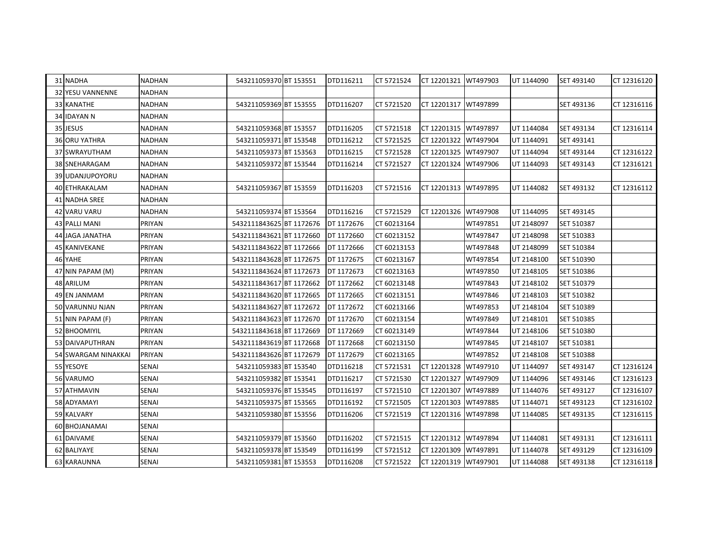| 31 NADHA                | <b>NADHAN</b> | 543211059370 BT 153551   | DTD116211  | CT 5721524  | CT 12201321 WT497903 |          | UT 1144090 | SET 493140 | CT 12316120 |
|-------------------------|---------------|--------------------------|------------|-------------|----------------------|----------|------------|------------|-------------|
| <b>32 YESU VANNENNE</b> | <b>NADHAN</b> |                          |            |             |                      |          |            |            |             |
| <b>33 KANATHE</b>       | NADHAN        | 543211059369 BT 153555   | DTD116207  | CT 5721520  | CT 12201317 WT497899 |          |            | SET 493136 | CT 12316116 |
| 34 IDAYAN N             | NADHAN        |                          |            |             |                      |          |            |            |             |
| 35 JESUS                | <b>NADHAN</b> | 543211059368 BT 153557   | DTD116205  | CT 5721518  | CT 12201315 WT497897 |          | UT 1144084 | SET 493134 | CT 12316114 |
| 36 ORU YATHRA           | NADHAN        | 543211059371 BT 153548   | DTD116212  | CT 5721525  | CT 12201322          | WT497904 | UT 1144091 | SET 493141 |             |
| 37 SWRAYUTHAM           | <b>NADHAN</b> | 543211059373 BT 153563   | DTD116215  | CT 5721528  | CT 12201325 WT497907 |          | UT 1144094 | SET 493144 | CT 12316122 |
| 38 SNEHARAGAM           | NADHAN        | 543211059372 BT 153544   | DTD116214  | CT 5721527  | CT 12201324 WT497906 |          | UT 1144093 | SET 493143 | CT 12316121 |
| 39 UDANJUPOYORU         | <b>NADHAN</b> |                          |            |             |                      |          |            |            |             |
| 40 ETHRAKALAM           | <b>NADHAN</b> | 543211059367 BT 153559   | DTD116203  | CT 5721516  | CT 12201313 WT497895 |          | UT 1144082 | SET 493132 | CT 12316112 |
| 41 NADHA SREE           | NADHAN        |                          |            |             |                      |          |            |            |             |
| 42 VARU VARU            | NADHAN        | 543211059374 BT 153564   | DTD116216  | CT 5721529  | CT 12201326 WT497908 |          | UT 1144095 | SET 493145 |             |
| <b>43 PALLI MANI</b>    | PRIYAN        | 5432111843625 BT 1172676 | DT 1172676 | CT 60213164 |                      | WT497851 | UT 2148097 | SET 510387 |             |
| 44 JAGA JANATHA         | PRIYAN        | 5432111843621 BT 1172660 | DT 1172660 | CT 60213152 |                      | WT497847 | UT 2148098 | SET 510383 |             |
| 45 KANIVEKANE           | PRIYAN        | 5432111843622 BT 1172666 | DT 1172666 | CT 60213153 |                      | WT497848 | UT 2148099 | SET 510384 |             |
| 46 YAHE                 | PRIYAN        | 5432111843628 BT 1172675 | DT 1172675 | CT 60213167 |                      | WT497854 | UT 2148100 | SET 510390 |             |
| 47 NIN PAPAM (M)        | PRIYAN        | 5432111843624 BT 1172673 | DT 1172673 | CT 60213163 |                      | WT497850 | UT 2148105 | SET 510386 |             |
| 48 ARILUM               | PRIYAN        | 5432111843617 BT 1172662 | DT 1172662 | CT 60213148 |                      | WT497843 | UT 2148102 | SET 510379 |             |
| 49 EN JANMAM            | PRIYAN        | 5432111843620 BT 1172665 | DT 1172665 | CT 60213151 |                      | WT497846 | UT 2148103 | SET 510382 |             |
| 50 VARUNNU NJAN         | PRIYAN        | 5432111843627 BT 1172672 | DT 1172672 | CT 60213166 |                      | WT497853 | UT 2148104 | SET 510389 |             |
| 51 NIN PAPAM (F)        | PRIYAN        | 5432111843623 BT 1172670 | DT 1172670 | CT 60213154 |                      | WT497849 | UT 2148101 | SET 510385 |             |
| 52 BHOOMIYIL            | PRIYAN        | 5432111843618 BT 1172669 | DT 1172669 | CT 60213149 |                      | WT497844 | UT 2148106 | SET 510380 |             |
| 53 DAIVAPUTHRAN         | PRIYAN        | 5432111843619 BT 1172668 | DT 1172668 | CT 60213150 |                      | WT497845 | UT 2148107 | SET 510381 |             |
| 54 SWARGAM NINAKKAI     | PRIYAN        | 5432111843626 BT 1172679 | DT 1172679 | CT 60213165 |                      | WT497852 | UT 2148108 | SET 510388 |             |
| 55 YESOYE               | <b>SENAI</b>  | 543211059383 BT 153540   | DTD116218  | CT 5721531  | CT 12201328          | WT497910 | UT 1144097 | SET 493147 | CT 12316124 |
| 56 VARUMO               | <b>SENAI</b>  | 543211059382 BT 153541   | DTD116217  | CT 5721530  | CT 12201327          | WT497909 | UT 1144096 | SET 493146 | CT 12316123 |
| 57 ATHMAVIN             | <b>SENAI</b>  | 543211059376 BT 153545   | DTD116197  | CT 5721510  | CT 12201307          | WT497889 | UT 1144076 | SET 493127 | CT 12316107 |
| 58 ADYAMAYI             | <b>SENAI</b>  | 543211059375 BT 153565   | DTD116192  | CT 5721505  | CT 12201303          | WT497885 | UT 1144071 | SET 493123 | CT 12316102 |
| 59 KALVARY              | <b>SENAI</b>  | 543211059380 BT 153556   | DTD116206  | CT 5721519  | CT 12201316 WT497898 |          | UT 1144085 | SET 493135 | CT 12316115 |
| 60 BHOJANAMAI           | <b>SENAI</b>  |                          |            |             |                      |          |            |            |             |
| 61 DAIVAME              | <b>SENAI</b>  | 543211059379 BT 153560   | DTD116202  | CT 5721515  | CT 12201312 WT497894 |          | UT 1144081 | SET 493131 | CT 12316111 |
| 62 BALIYAYE             | <b>SENAI</b>  | 543211059378 BT 153549   | DTD116199  | CT 5721512  | CT 12201309          | WT497891 | UT 1144078 | SET 493129 | CT 12316109 |
| 63 KARAUNNA             | <b>SENAI</b>  | 543211059381 BT 153553   | DTD116208  | CT 5721522  | CT 12201319 WT497901 |          | UT 1144088 | SET 493138 | CT 12316118 |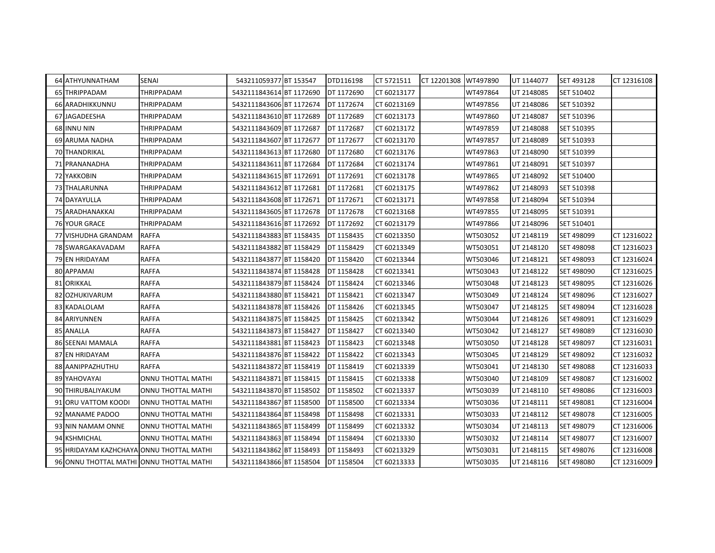| 64 ATHYUNNATHAM                          | <b>SENAI</b>       | 543211059377 BT 153547   | DTD116198  | CT 5721511  | CT 12201308 WT497890 |          | UT 1144077 | SET 493128 | CT 12316108 |
|------------------------------------------|--------------------|--------------------------|------------|-------------|----------------------|----------|------------|------------|-------------|
| 65 THRIPPADAM                            | THRIPPADAM         | 5432111843614 BT 1172690 | DT 1172690 | CT 60213177 |                      | WT497864 | UT 2148085 | SET 510402 |             |
| <b>66 ARADHIKKUNNU</b>                   | THRIPPADAM         | 5432111843606 BT 1172674 | DT 1172674 | CT 60213169 |                      | WT497856 | UT 2148086 | SET 510392 |             |
| 67 JAGADEESHA                            | THRIPPADAM         | 5432111843610 BT 1172689 | DT 1172689 | CT 60213173 |                      | WT497860 | UT 2148087 | SET 510396 |             |
| 68 INNU NIN                              | THRIPPADAM         | 5432111843609 BT 1172687 | DT 1172687 | CT 60213172 |                      | WT497859 | UT 2148088 | SET 510395 |             |
| 69 ARUMA NADHA                           | THRIPPADAM         | 5432111843607 BT 1172677 | DT 1172677 | CT 60213170 |                      | WT497857 | UT 2148089 | SET 510393 |             |
| 70 THANDRIKAL                            | THRIPPADAM         | 5432111843613 BT 1172680 | DT 1172680 | CT 60213176 |                      | WT497863 | UT 2148090 | SET 510399 |             |
| 71 PRANANADHA                            | THRIPPADAM         | 5432111843611 BT 1172684 | DT 1172684 | CT 60213174 |                      | WT497861 | UT 2148091 | SET 510397 |             |
| <b>72 YAKKOBIN</b>                       | THRIPPADAM         | 5432111843615 BT 1172691 | DT 1172691 | CT 60213178 |                      | WT497865 | UT 2148092 | SET 510400 |             |
| 73 THALARUNNA                            | THRIPPADAM         | 5432111843612 BT 1172681 | DT 1172681 | CT 60213175 |                      | WT497862 | UT 2148093 | SET 510398 |             |
| 74 DAYAYULLA                             | THRIPPADAM         | 5432111843608 BT 1172671 | DT 1172671 | CT 60213171 |                      | WT497858 | UT 2148094 | SET 510394 |             |
| 75 ARADHANAKKAI                          | THRIPPADAM         | 5432111843605 BT 1172678 | DT 1172678 | CT 60213168 |                      | WT497855 | UT 2148095 | SET 510391 |             |
| <b>76 YOUR GRACE</b>                     | THRIPPADAM         | 5432111843616 BT 1172692 | DT 1172692 | CT 60213179 |                      | WT497866 | UT 2148096 | SET 510401 |             |
| 77 VISHUDHA GRANDAM                      | <b>RAFFA</b>       | 5432111843883 BT 1158435 | DT 1158435 | CT 60213350 |                      | WT503052 | UT 2148119 | SET 498099 | CT 12316022 |
| 78 SWARGAKAVADAM                         | <b>RAFFA</b>       | 5432111843882 BT 1158429 | DT 1158429 | CT 60213349 |                      | WT503051 | UT 2148120 | SET 498098 | CT 12316023 |
| 79 EN HRIDAYAM                           | <b>RAFFA</b>       | 5432111843877 BT 1158420 | DT 1158420 | CT 60213344 |                      | WT503046 | UT 2148121 | SET 498093 | CT 12316024 |
| 80 APPAMAI                               | <b>RAFFA</b>       | 5432111843874 BT 1158428 | DT 1158428 | CT 60213341 |                      | WT503043 | UT 2148122 | SET 498090 | CT 12316025 |
| 81 ORIKKAL                               | <b>RAFFA</b>       | 5432111843879 BT 1158424 | DT 1158424 | CT 60213346 |                      | WT503048 | UT 2148123 | SET 498095 | CT 12316026 |
| 82 OZHUKIVARUM                           | <b>RAFFA</b>       | 5432111843880 BT 1158421 | DT 1158421 | CT 60213347 |                      | WT503049 | UT 2148124 | SET 498096 | CT 12316027 |
| 83 KADALOLAM                             | <b>RAFFA</b>       | 5432111843878 BT 1158426 | DT 1158426 | CT 60213345 |                      | WT503047 | UT 2148125 | SET 498094 | CT 12316028 |
| 84 ARIYUNNEN                             | <b>RAFFA</b>       | 5432111843875 BT 1158425 | DT 1158425 | CT 60213342 |                      | WT503044 | UT 2148126 | SET 498091 | CT 12316029 |
| 85 ANALLA                                | <b>RAFFA</b>       | 5432111843873 BT 1158427 | DT 1158427 | CT 60213340 |                      | WT503042 | UT 2148127 | SET 498089 | CT 12316030 |
| 86 SEENAI MAMALA                         | <b>RAFFA</b>       | 5432111843881 BT 1158423 | DT 1158423 | CT 60213348 |                      | WT503050 | UT 2148128 | SET 498097 | CT 12316031 |
| 87 EN HRIDAYAM                           | <b>RAFFA</b>       | 5432111843876 BT 1158422 | DT 1158422 | CT 60213343 |                      | WT503045 | UT 2148129 | SET 498092 | CT 12316032 |
| 88 AANIPPAZHUTHU                         | <b>RAFFA</b>       | 5432111843872 BT 1158419 | DT 1158419 | CT 60213339 |                      | WT503041 | UT 2148130 | SET 498088 | CT 12316033 |
| 89 YAHOVAYAI                             | ONNU THOTTAL MATHI | 5432111843871 BT 1158415 | DT 1158415 | CT 60213338 |                      | WT503040 | UT 2148109 | SET 498087 | CT 12316002 |
| 90 THIRUBALIYAKUM                        | ONNU THOTTAL MATHI | 5432111843870 BT 1158502 | DT 1158502 | CT 60213337 |                      | WT503039 | UT 2148110 | SET 498086 | CT 12316003 |
| 91 ORU VATTOM KOODI                      | ONNU THOTTAL MATHI | 5432111843867 BT 1158500 | DT 1158500 | CT 60213334 |                      | WT503036 | UT 2148111 | SET 498081 | CT 12316004 |
| 92 MANAME PADOO                          | ONNU THOTTAL MATHI | 5432111843864 BT 1158498 | DT 1158498 | CT 60213331 |                      | WT503033 | UT 2148112 | SET 498078 | CT 12316005 |
| 93 NIN NAMAM ONNE                        | ONNU THOTTAL MATHI | 5432111843865 BT 1158499 | DT 1158499 | CT 60213332 |                      | WT503034 | UT 2148113 | SET 498079 | CT 12316006 |
| 94 KSHMICHAL                             | ONNU THOTTAL MATHI | 5432111843863 BT 1158494 | DT 1158494 | CT 60213330 |                      | WT503032 | UT 2148114 | SET 498077 | CT 12316007 |
| 95 HRIDAYAM KAZHCHAYA ONNU THOTTAL MATHI |                    | 5432111843862 BT 1158493 | DT 1158493 | CT 60213329 |                      | WT503031 | UT 2148115 | SET 498076 | CT 12316008 |
| 96 ONNU THOTTAL MATHI ONNU THOTTAL MATHI |                    | 5432111843866 BT 1158504 | DT 1158504 | CT 60213333 |                      | WT503035 | UT 2148116 | SET 498080 | CT 12316009 |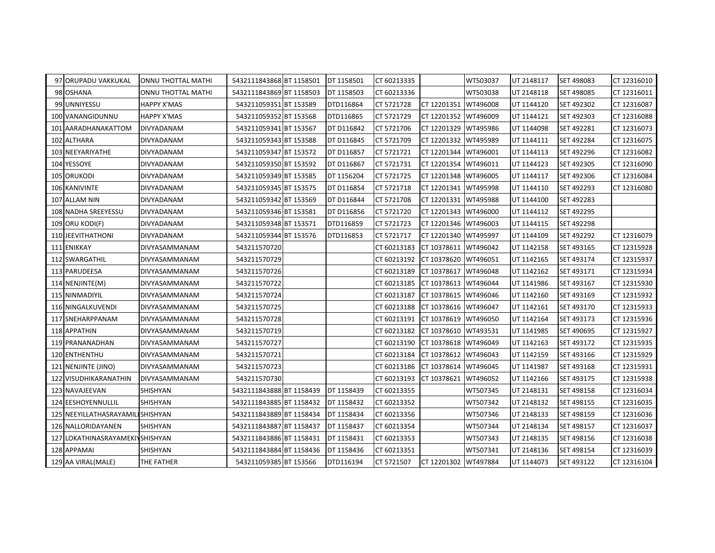| 97 ORUPADU VAKKUKAL               | <b>ONNU THOTTAL MATHI</b> | 5432111843868 BT 1158501 | DT 1158501 | CT 60213335 |                      | WT503037 | UT 2148117 | SET 498083 | CT 12316010 |
|-----------------------------------|---------------------------|--------------------------|------------|-------------|----------------------|----------|------------|------------|-------------|
| 98 OSHANA                         | ONNU THOTTAL MATHI        | 5432111843869 BT 1158503 | DT 1158503 | CT 60213336 |                      | WT503038 | UT 2148118 | SET 498085 | CT 12316011 |
| 99 UNNIYESSU                      | <b>HAPPY X'MAS</b>        | 543211059351 BT 153589   | DTD116864  | CT 5721728  | CT 12201351          | WT496008 | UT 1144120 | SET 492302 | CT 12316087 |
| 100 VANANGIDUNNU                  | <b>HAPPY X'MAS</b>        | 543211059352 BT 153568   | DTD116865  | CT 5721729  | CT 12201352          | WT496009 | UT 1144121 | SET 492303 | CT 12316088 |
| 101 AARADHANAKATTOM               | DIVYADANAM                | 543211059341 BT 153567   | DT D116842 | CT 5721706  | CT 12201329          | WT495986 | UT 1144098 | SET 492281 | CT 12316073 |
| 102 ALTHARA                       | DIVYADANAM                | 543211059343 BT 153588   | DT D116845 | CT 5721709  | CT 12201332          | WT495989 | UT 1144111 | SET 492284 | CT 12316075 |
| 103 NEEYARIYATHE                  | DIVYADANAM                | 543211059347 BT 153572   | DT D116857 | CT 5721721  | CT 12201344          | WT496001 | UT 1144113 | SET 492296 | CT 12316082 |
| 104 YESSOYE                       | DIVYADANAM                | 543211059350 BT 153592   | DT D116867 | CT 5721731  | CT 12201354          | WT496011 | UT 1144123 | SET 492305 | CT 12316090 |
| 105 ORUKODI                       | DIVYADANAM                | 543211059349 BT 153585   | DT 1156204 | CT 5721725  | CT 12201348          | WT496005 | UT 1144117 | SET 492306 | CT 12316084 |
| 106 KANIVINTE                     | DIVYADANAM                | 543211059345 BT 153575   | DT D116854 | CT 5721718  | CT 12201341          | WT495998 | UT 1144110 | SET 492293 | CT 12316080 |
| 107 ALLAM NIN                     | DIVYADANAM                | 543211059342 BT 153569   | DT D116844 | CT 5721708  | CT 12201331          | WT495988 | UT 1144100 | SET 492283 |             |
| 108 NADHA SREEYESSU               | DIVYADANAM                | 543211059346 BT 153581   | DT D116856 | CT 5721720  | CT 12201343          | WT496000 | UT 1144112 | SET 492295 |             |
| 109 ORU KODI(F)                   | <b>DIVYADANAM</b>         | 543211059348 BT 153571   | DTD116859  | CT 5721723  | CT 12201346          | WT496003 | UT 1144115 | SET 492298 |             |
| 110 JEEVITHATHONI                 | DIVYADANAM                | 543211059344 BT 153576   | DTD116853  | CT 5721717  | CT 12201340          | WT495997 | UT 1144109 | SET 492292 | CT 12316079 |
| 111 ENIKKAY                       | DIVYASAMMANAM             | 543211570720             |            | CT 60213183 | CT 10378611          | WT496042 | UT 1142158 | SET 493165 | CT 12315928 |
| 112 SWARGATHIL                    | DIVYASAMMANAM             | 543211570729             |            | CT 60213192 | CT 10378620          | WT496051 | UT 1142165 | SET 493174 | CT 12315937 |
| 113 PARUDEESA                     | DIVYASAMMANAM             | 543211570726             |            | CT 60213189 | CT 10378617          | WT496048 | UT 1142162 | SET 493171 | CT 12315934 |
| 114 NENJINTE(M)                   | DIVYASAMMANAM             | 543211570722             |            | CT 60213185 | CT 10378613          | WT496044 | UT 1141986 | SET 493167 | CT 12315930 |
| 115 NINMADIYIL                    | DIVYASAMMANAM             | 543211570724             |            | CT 60213187 | CT 10378615          | WT496046 | UT 1142160 | SET 493169 | CT 12315932 |
| 116 NINGALKUVENDI                 | DIVYASAMMANAM             | 543211570725             |            | CT 60213188 | CT 10378616          | WT496047 | UT 1142161 | SET 493170 | CT 12315933 |
| 117 SNEHARPPANAM                  | DIVYASAMMANAM             | 543211570728             |            | CT 60213191 | CT 10378619          | WT496050 | UT 1142164 | SET 493173 | CT 12315936 |
| 118 APPATHIN                      | DIVYASAMMANAM             | 543211570719             |            | CT 60213182 | CT 10378610          | WT493531 | UT 1141985 | SET 490695 | CT 12315927 |
| 119 PRANANADHAN                   | DIVYASAMMANAM             | 543211570727             |            | CT 60213190 | CT 10378618          | WT496049 | UT 1142163 | SET 493172 | CT 12315935 |
| 120 ENTHENTHU                     | DIVYASAMMANAM             | 543211570721             |            | CT 60213184 | CT 10378612          | WT496043 | UT 1142159 | SET 493166 | CT 12315929 |
| 121 NENJINTE (JINO)               | DIVYASAMMANAM             | 543211570723             |            | CT 60213186 | CT 10378614          | WT496045 | UT 1141987 | SET 493168 | CT 12315931 |
| 122 VISUDHIKARANATHIN             | DIVYASAMMANAM             | 543211570730             |            | CT 60213193 | CT 10378621          | WT496052 | UT 1142166 | SET 493175 | CT 12315938 |
| 123 NAVAJEEVAN                    | SHISHYAN                  | 5432111843888 BT 1158439 | DT 1158439 | CT 60213355 |                      | WT507345 | UT 2148131 | SET 498158 | CT 12316034 |
| 124 EESHOYENNULLIL                | SHISHYAN                  | 5432111843885 BT 1158432 | DT 1158432 | CT 60213352 |                      | WT507342 | UT 2148132 | SET 498155 | CT 12316035 |
| 125 NEEYILLATHASRAYAMILI SHISHYAN |                           | 5432111843889 BT 1158434 | DT 1158434 | CT 60213356 |                      | WT507346 | UT 2148133 | SET 498159 | CT 12316036 |
| 126 NALLORIDAYANEN                | SHISHYAN                  | 5432111843887 BT 1158437 | DT 1158437 | CT 60213354 |                      | WT507344 | UT 2148134 | SET 498157 | CT 12316037 |
| 127 LOKATHINASRAYAMEKIN SHISHYAN  |                           | 5432111843886 BT 1158431 | DT 1158431 | CT 60213353 |                      | WT507343 | UT 2148135 | SET 498156 | CT 12316038 |
| 128 APPAMAI                       | SHISHYAN                  | 5432111843884 BT 1158436 | DT 1158436 | CT 60213351 |                      | WT507341 | UT 2148136 | SET 498154 | CT 12316039 |
| 129 AA VIRAL(MALE)                | THE FATHER                | 543211059385 BT 153566   | DTD116194  | CT 5721507  | CT 12201302 WT497884 |          | UT 1144073 | SET 493122 | CT 12316104 |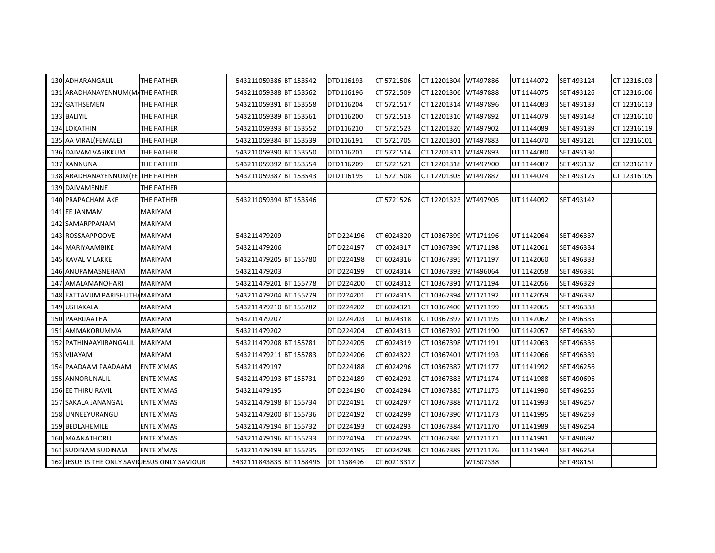| CT 12201306 WT497888<br>131 ARADHANAYENNUM(M/THE FATHER<br>543211059388 BT 153562<br>DTD116196<br>CT 5721509<br>UT 1144075<br>SET 493126<br>CT 12316106<br>132 GATHSEMEN<br>543211059391 BT 153558<br>DTD116204<br>CT 5721517<br>CT 12201314<br>WT497896<br>UT 1144083<br>SET 493133<br>CT 12316113<br>THE FATHER<br>133 BALIYIL<br>543211059389 BT 153561<br>DTD116200<br>THE FATHER<br>CT 5721513<br>CT 12201310<br>WT497892<br>UT 1144079<br>SET 493148<br>CT 12316110<br>WT497902<br>134 LOKATHIN<br>543211059393 BT 153552<br>DTD116210<br>CT 5721523<br>CT 12201320<br>UT 1144089<br>SET 493139<br>CT 12316119<br>THE FATHER<br>135 AA VIRAL(FEMALE)<br>543211059384 BT 153539<br>DTD116191<br>CT 5721705<br>CT 12201301<br>WT497883<br>CT 12316101<br><b>THE FATHER</b><br>UT 1144070<br>SET 493121<br>WT497893<br>136 DAIVAM VASIKKUM<br><b>THE FATHER</b><br>543211059390 BT 153550<br>DTD116201<br>CT 5721514<br>CT 12201311<br>UT 1144080<br>SET 493130<br>137 KANNUNA<br>THE FATHER<br>543211059392 BT 153554<br>DTD116209<br>CT 5721521<br>CT 12201318 WT497900<br>UT 1144087<br>SET 493137<br>CT 12316117<br>138 ARADHANAYENNUM (FE THE FATHER<br>543211059387 BT 153543<br>DTD116195<br>WT497887<br>CT 5721508<br>CT 12201305<br>UT 1144074<br>SET 493125<br>CT 12316105<br>139 DAIVAMENNE<br><b>THE FATHER</b><br>543211059394 BT 153546<br>WT497905<br>140 PRAPACHAM AKE<br>THE FATHER<br>CT 5721526<br>CT 12201323<br>UT 1144092<br>SET 493142<br>141 EE JANMAM<br>MARIYAM<br>142 SAMARPPANAM<br><b>MARIYAM</b><br>543211479209<br>DT D224196<br>CT 6024320<br>CT 10367399 WT171196<br>SET 496337<br>143 ROSSAAPPOOVE<br><b>MARIYAM</b><br>UT 1142064<br><b>MARIYAM</b><br>543211479206<br>DT D224197<br>CT 6024317<br>CT 10367396 WT171198<br>UT 1142061<br>SET 496334<br>144 MARIYAAMBIKE<br>543211479205 BT 155780<br>DT D224198<br>CT 6024316<br>CT 10367395<br>WT171197<br>UT 1142060<br>SET 496333<br><b>145 KAVAL VILAKKE</b><br>MARIYAM<br>543211479203<br>DT D224199<br>CT 6024314<br>CT 10367393<br>WT496064<br>146 ANUPAMASNEHAM<br><b>MARIYAM</b><br>UT 1142058<br>SET 496331<br><b>MARIYAM</b><br>543211479201 BT 155778<br>DT D224200<br>CT 6024312<br>CT 10367391<br>WT171194<br>UT 1142056<br>SET 496329<br>147 AMALAMANOHARI<br>543211479204 BT 155779<br>DT D224201<br>CT 6024315<br>WT171192<br>148 EATTAVUM PARISHUTH MARIYAM<br>CT 10367394<br>UT 1142059<br>SET 496332<br>543211479210 BT 155782<br>149 USHAKALA<br>MARIYAM<br>DT D224202<br>CT 6024321<br>CT 10367400<br>WT171199<br>UT 1142065<br>SET 496338<br><b>MARIYAM</b><br>543211479207<br>DT D224203<br>CT 6024318<br>CT 10367397<br>WT171195<br>UT 1142062<br>SET 496335<br>150 PAARIJAATHA<br>CT 6024313<br>151 AMMAKORUMMA<br><b>MARIYAM</b><br>543211479202<br>DT D224204<br>CT 10367392<br>WT171190<br>UT 1142057<br>SET 496330<br><b>MARIYAM</b><br>543211479208 BT 155781<br>DT D224205<br>CT 6024319<br>CT 10367398<br>WT171191<br>UT 1142063<br>SET 496336<br>152 PATHINAAYIIRANGALIL<br>153 VIJAYAM<br>543211479211 BT 155783<br>DT D224206<br>CT 6024322<br>CT 10367401<br>WT171193<br>UT 1142066<br>SET 496339<br><b>MARIYAM</b><br>154 PAADAAM PAADAAM<br>DT D224188<br>CT 6024296<br>CT 10367387<br>WT171177<br><b>ENTE X'MAS</b><br>543211479197<br>UT 1141992<br>SET 496256<br><b>ENTE X'MAS</b><br>543211479193 BT 155731<br>DT D224189<br>CT 6024292<br>CT 10367383<br>WT171174<br>UT 1141988<br>SET 490696<br><b>155 ANNORUNALIL</b><br><b>ENTE X'MAS</b><br>543211479195<br>DT D224190<br>CT 6024294<br>CT 10367385<br>WT171175<br>UT 1141990<br>SET 496255<br><b>156 EE THIRU RAVIL</b><br>543211479198 BT 155734<br>WT171172<br><b>ENTE X'MAS</b><br><b>DT D224191</b><br>CT 6024297<br>CT 10367388<br>UT 1141993<br>SET 496257<br>157 SAKALA JANANGAL<br><b>ENTE X'MAS</b><br>543211479200 BT 155736<br>DT D224192<br>CT 6024299<br>CT 10367390<br>WT171173<br>158 UNNEEYURANGU<br>UT 1141995<br>SET 496259<br>DT D224193<br>CT 6024293<br>WT171170<br>159 BEDLAHEMILE<br><b>ENTE X'MAS</b><br>543211479194 BT 155732<br>CT 10367384<br>UT 1141989<br>SET 496254<br><b>ENTE X'MAS</b><br>543211479196 BT 155733<br>DT D224194<br>CT 6024295<br>CT 10367386 WT171171<br>UT 1141991<br>SET 490697<br>160 MAANATHORU<br>543211479199 BT 155735<br>CT 6024298<br>CT 10367389<br>WT171176<br><b>161 SUDINAM SUDINAM</b><br><b>ENTE X'MAS</b><br>DT D224195<br>UT 1141994<br>SET 496258<br>162 JESUS IS THE ONLY SAVILIESUS ONLY SAVIOUR<br>5432111843833 BT 1158496<br>DT 1158496<br>CT 60213317<br>WT507338<br>SET 498151 | 130 ADHARANGALIL | THE FATHER | 543211059386 BT 153542 | DTD116193 | CT 5721506 | CT 12201304 | WT497886 | UT 1144072 | SET 493124 | CT 12316103 |
|------------------------------------------------------------------------------------------------------------------------------------------------------------------------------------------------------------------------------------------------------------------------------------------------------------------------------------------------------------------------------------------------------------------------------------------------------------------------------------------------------------------------------------------------------------------------------------------------------------------------------------------------------------------------------------------------------------------------------------------------------------------------------------------------------------------------------------------------------------------------------------------------------------------------------------------------------------------------------------------------------------------------------------------------------------------------------------------------------------------------------------------------------------------------------------------------------------------------------------------------------------------------------------------------------------------------------------------------------------------------------------------------------------------------------------------------------------------------------------------------------------------------------------------------------------------------------------------------------------------------------------------------------------------------------------------------------------------------------------------------------------------------------------------------------------------------------------------------------------------------------------------------------------------------------------------------------------------------------------------------------------------------------------------------------------------------------------------------------------------------------------------------------------------------------------------------------------------------------------------------------------------------------------------------------------------------------------------------------------------------------------------------------------------------------------------------------------------------------------------------------------------------------------------------------------------------------------------------------------------------------------------------------------------------------------------------------------------------------------------------------------------------------------------------------------------------------------------------------------------------------------------------------------------------------------------------------------------------------------------------------------------------------------------------------------------------------------------------------------------------------------------------------------------------------------------------------------------------------------------------------------------------------------------------------------------------------------------------------------------------------------------------------------------------------------------------------------------------------------------------------------------------------------------------------------------------------------------------------------------------------------------------------------------------------------------------------------------------------------------------------------------------------------------------------------------------------------------------------------------------------------------------------------------------------------------------------------------------------------------------------------------------------------------------------------------------------------------------------------------------------------------------------------------------------------------------------------------------------------------------------------------------------------------------------------------------------------------------------------------------------------------------------------------------------------------------------------------------------------------------------------------------------------------------|------------------|------------|------------------------|-----------|------------|-------------|----------|------------|------------|-------------|
|                                                                                                                                                                                                                                                                                                                                                                                                                                                                                                                                                                                                                                                                                                                                                                                                                                                                                                                                                                                                                                                                                                                                                                                                                                                                                                                                                                                                                                                                                                                                                                                                                                                                                                                                                                                                                                                                                                                                                                                                                                                                                                                                                                                                                                                                                                                                                                                                                                                                                                                                                                                                                                                                                                                                                                                                                                                                                                                                                                                                                                                                                                                                                                                                                                                                                                                                                                                                                                                                                                                                                                                                                                                                                                                                                                                                                                                                                                                                                                                                                                                                                                                                                                                                                                                                                                                                                                                                                                                                                                                                                |                  |            |                        |           |            |             |          |            |            |             |
|                                                                                                                                                                                                                                                                                                                                                                                                                                                                                                                                                                                                                                                                                                                                                                                                                                                                                                                                                                                                                                                                                                                                                                                                                                                                                                                                                                                                                                                                                                                                                                                                                                                                                                                                                                                                                                                                                                                                                                                                                                                                                                                                                                                                                                                                                                                                                                                                                                                                                                                                                                                                                                                                                                                                                                                                                                                                                                                                                                                                                                                                                                                                                                                                                                                                                                                                                                                                                                                                                                                                                                                                                                                                                                                                                                                                                                                                                                                                                                                                                                                                                                                                                                                                                                                                                                                                                                                                                                                                                                                                                |                  |            |                        |           |            |             |          |            |            |             |
|                                                                                                                                                                                                                                                                                                                                                                                                                                                                                                                                                                                                                                                                                                                                                                                                                                                                                                                                                                                                                                                                                                                                                                                                                                                                                                                                                                                                                                                                                                                                                                                                                                                                                                                                                                                                                                                                                                                                                                                                                                                                                                                                                                                                                                                                                                                                                                                                                                                                                                                                                                                                                                                                                                                                                                                                                                                                                                                                                                                                                                                                                                                                                                                                                                                                                                                                                                                                                                                                                                                                                                                                                                                                                                                                                                                                                                                                                                                                                                                                                                                                                                                                                                                                                                                                                                                                                                                                                                                                                                                                                |                  |            |                        |           |            |             |          |            |            |             |
|                                                                                                                                                                                                                                                                                                                                                                                                                                                                                                                                                                                                                                                                                                                                                                                                                                                                                                                                                                                                                                                                                                                                                                                                                                                                                                                                                                                                                                                                                                                                                                                                                                                                                                                                                                                                                                                                                                                                                                                                                                                                                                                                                                                                                                                                                                                                                                                                                                                                                                                                                                                                                                                                                                                                                                                                                                                                                                                                                                                                                                                                                                                                                                                                                                                                                                                                                                                                                                                                                                                                                                                                                                                                                                                                                                                                                                                                                                                                                                                                                                                                                                                                                                                                                                                                                                                                                                                                                                                                                                                                                |                  |            |                        |           |            |             |          |            |            |             |
|                                                                                                                                                                                                                                                                                                                                                                                                                                                                                                                                                                                                                                                                                                                                                                                                                                                                                                                                                                                                                                                                                                                                                                                                                                                                                                                                                                                                                                                                                                                                                                                                                                                                                                                                                                                                                                                                                                                                                                                                                                                                                                                                                                                                                                                                                                                                                                                                                                                                                                                                                                                                                                                                                                                                                                                                                                                                                                                                                                                                                                                                                                                                                                                                                                                                                                                                                                                                                                                                                                                                                                                                                                                                                                                                                                                                                                                                                                                                                                                                                                                                                                                                                                                                                                                                                                                                                                                                                                                                                                                                                |                  |            |                        |           |            |             |          |            |            |             |
|                                                                                                                                                                                                                                                                                                                                                                                                                                                                                                                                                                                                                                                                                                                                                                                                                                                                                                                                                                                                                                                                                                                                                                                                                                                                                                                                                                                                                                                                                                                                                                                                                                                                                                                                                                                                                                                                                                                                                                                                                                                                                                                                                                                                                                                                                                                                                                                                                                                                                                                                                                                                                                                                                                                                                                                                                                                                                                                                                                                                                                                                                                                                                                                                                                                                                                                                                                                                                                                                                                                                                                                                                                                                                                                                                                                                                                                                                                                                                                                                                                                                                                                                                                                                                                                                                                                                                                                                                                                                                                                                                |                  |            |                        |           |            |             |          |            |            |             |
|                                                                                                                                                                                                                                                                                                                                                                                                                                                                                                                                                                                                                                                                                                                                                                                                                                                                                                                                                                                                                                                                                                                                                                                                                                                                                                                                                                                                                                                                                                                                                                                                                                                                                                                                                                                                                                                                                                                                                                                                                                                                                                                                                                                                                                                                                                                                                                                                                                                                                                                                                                                                                                                                                                                                                                                                                                                                                                                                                                                                                                                                                                                                                                                                                                                                                                                                                                                                                                                                                                                                                                                                                                                                                                                                                                                                                                                                                                                                                                                                                                                                                                                                                                                                                                                                                                                                                                                                                                                                                                                                                |                  |            |                        |           |            |             |          |            |            |             |
|                                                                                                                                                                                                                                                                                                                                                                                                                                                                                                                                                                                                                                                                                                                                                                                                                                                                                                                                                                                                                                                                                                                                                                                                                                                                                                                                                                                                                                                                                                                                                                                                                                                                                                                                                                                                                                                                                                                                                                                                                                                                                                                                                                                                                                                                                                                                                                                                                                                                                                                                                                                                                                                                                                                                                                                                                                                                                                                                                                                                                                                                                                                                                                                                                                                                                                                                                                                                                                                                                                                                                                                                                                                                                                                                                                                                                                                                                                                                                                                                                                                                                                                                                                                                                                                                                                                                                                                                                                                                                                                                                |                  |            |                        |           |            |             |          |            |            |             |
|                                                                                                                                                                                                                                                                                                                                                                                                                                                                                                                                                                                                                                                                                                                                                                                                                                                                                                                                                                                                                                                                                                                                                                                                                                                                                                                                                                                                                                                                                                                                                                                                                                                                                                                                                                                                                                                                                                                                                                                                                                                                                                                                                                                                                                                                                                                                                                                                                                                                                                                                                                                                                                                                                                                                                                                                                                                                                                                                                                                                                                                                                                                                                                                                                                                                                                                                                                                                                                                                                                                                                                                                                                                                                                                                                                                                                                                                                                                                                                                                                                                                                                                                                                                                                                                                                                                                                                                                                                                                                                                                                |                  |            |                        |           |            |             |          |            |            |             |
|                                                                                                                                                                                                                                                                                                                                                                                                                                                                                                                                                                                                                                                                                                                                                                                                                                                                                                                                                                                                                                                                                                                                                                                                                                                                                                                                                                                                                                                                                                                                                                                                                                                                                                                                                                                                                                                                                                                                                                                                                                                                                                                                                                                                                                                                                                                                                                                                                                                                                                                                                                                                                                                                                                                                                                                                                                                                                                                                                                                                                                                                                                                                                                                                                                                                                                                                                                                                                                                                                                                                                                                                                                                                                                                                                                                                                                                                                                                                                                                                                                                                                                                                                                                                                                                                                                                                                                                                                                                                                                                                                |                  |            |                        |           |            |             |          |            |            |             |
|                                                                                                                                                                                                                                                                                                                                                                                                                                                                                                                                                                                                                                                                                                                                                                                                                                                                                                                                                                                                                                                                                                                                                                                                                                                                                                                                                                                                                                                                                                                                                                                                                                                                                                                                                                                                                                                                                                                                                                                                                                                                                                                                                                                                                                                                                                                                                                                                                                                                                                                                                                                                                                                                                                                                                                                                                                                                                                                                                                                                                                                                                                                                                                                                                                                                                                                                                                                                                                                                                                                                                                                                                                                                                                                                                                                                                                                                                                                                                                                                                                                                                                                                                                                                                                                                                                                                                                                                                                                                                                                                                |                  |            |                        |           |            |             |          |            |            |             |
|                                                                                                                                                                                                                                                                                                                                                                                                                                                                                                                                                                                                                                                                                                                                                                                                                                                                                                                                                                                                                                                                                                                                                                                                                                                                                                                                                                                                                                                                                                                                                                                                                                                                                                                                                                                                                                                                                                                                                                                                                                                                                                                                                                                                                                                                                                                                                                                                                                                                                                                                                                                                                                                                                                                                                                                                                                                                                                                                                                                                                                                                                                                                                                                                                                                                                                                                                                                                                                                                                                                                                                                                                                                                                                                                                                                                                                                                                                                                                                                                                                                                                                                                                                                                                                                                                                                                                                                                                                                                                                                                                |                  |            |                        |           |            |             |          |            |            |             |
|                                                                                                                                                                                                                                                                                                                                                                                                                                                                                                                                                                                                                                                                                                                                                                                                                                                                                                                                                                                                                                                                                                                                                                                                                                                                                                                                                                                                                                                                                                                                                                                                                                                                                                                                                                                                                                                                                                                                                                                                                                                                                                                                                                                                                                                                                                                                                                                                                                                                                                                                                                                                                                                                                                                                                                                                                                                                                                                                                                                                                                                                                                                                                                                                                                                                                                                                                                                                                                                                                                                                                                                                                                                                                                                                                                                                                                                                                                                                                                                                                                                                                                                                                                                                                                                                                                                                                                                                                                                                                                                                                |                  |            |                        |           |            |             |          |            |            |             |
|                                                                                                                                                                                                                                                                                                                                                                                                                                                                                                                                                                                                                                                                                                                                                                                                                                                                                                                                                                                                                                                                                                                                                                                                                                                                                                                                                                                                                                                                                                                                                                                                                                                                                                                                                                                                                                                                                                                                                                                                                                                                                                                                                                                                                                                                                                                                                                                                                                                                                                                                                                                                                                                                                                                                                                                                                                                                                                                                                                                                                                                                                                                                                                                                                                                                                                                                                                                                                                                                                                                                                                                                                                                                                                                                                                                                                                                                                                                                                                                                                                                                                                                                                                                                                                                                                                                                                                                                                                                                                                                                                |                  |            |                        |           |            |             |          |            |            |             |
|                                                                                                                                                                                                                                                                                                                                                                                                                                                                                                                                                                                                                                                                                                                                                                                                                                                                                                                                                                                                                                                                                                                                                                                                                                                                                                                                                                                                                                                                                                                                                                                                                                                                                                                                                                                                                                                                                                                                                                                                                                                                                                                                                                                                                                                                                                                                                                                                                                                                                                                                                                                                                                                                                                                                                                                                                                                                                                                                                                                                                                                                                                                                                                                                                                                                                                                                                                                                                                                                                                                                                                                                                                                                                                                                                                                                                                                                                                                                                                                                                                                                                                                                                                                                                                                                                                                                                                                                                                                                                                                                                |                  |            |                        |           |            |             |          |            |            |             |
|                                                                                                                                                                                                                                                                                                                                                                                                                                                                                                                                                                                                                                                                                                                                                                                                                                                                                                                                                                                                                                                                                                                                                                                                                                                                                                                                                                                                                                                                                                                                                                                                                                                                                                                                                                                                                                                                                                                                                                                                                                                                                                                                                                                                                                                                                                                                                                                                                                                                                                                                                                                                                                                                                                                                                                                                                                                                                                                                                                                                                                                                                                                                                                                                                                                                                                                                                                                                                                                                                                                                                                                                                                                                                                                                                                                                                                                                                                                                                                                                                                                                                                                                                                                                                                                                                                                                                                                                                                                                                                                                                |                  |            |                        |           |            |             |          |            |            |             |
|                                                                                                                                                                                                                                                                                                                                                                                                                                                                                                                                                                                                                                                                                                                                                                                                                                                                                                                                                                                                                                                                                                                                                                                                                                                                                                                                                                                                                                                                                                                                                                                                                                                                                                                                                                                                                                                                                                                                                                                                                                                                                                                                                                                                                                                                                                                                                                                                                                                                                                                                                                                                                                                                                                                                                                                                                                                                                                                                                                                                                                                                                                                                                                                                                                                                                                                                                                                                                                                                                                                                                                                                                                                                                                                                                                                                                                                                                                                                                                                                                                                                                                                                                                                                                                                                                                                                                                                                                                                                                                                                                |                  |            |                        |           |            |             |          |            |            |             |
|                                                                                                                                                                                                                                                                                                                                                                                                                                                                                                                                                                                                                                                                                                                                                                                                                                                                                                                                                                                                                                                                                                                                                                                                                                                                                                                                                                                                                                                                                                                                                                                                                                                                                                                                                                                                                                                                                                                                                                                                                                                                                                                                                                                                                                                                                                                                                                                                                                                                                                                                                                                                                                                                                                                                                                                                                                                                                                                                                                                                                                                                                                                                                                                                                                                                                                                                                                                                                                                                                                                                                                                                                                                                                                                                                                                                                                                                                                                                                                                                                                                                                                                                                                                                                                                                                                                                                                                                                                                                                                                                                |                  |            |                        |           |            |             |          |            |            |             |
|                                                                                                                                                                                                                                                                                                                                                                                                                                                                                                                                                                                                                                                                                                                                                                                                                                                                                                                                                                                                                                                                                                                                                                                                                                                                                                                                                                                                                                                                                                                                                                                                                                                                                                                                                                                                                                                                                                                                                                                                                                                                                                                                                                                                                                                                                                                                                                                                                                                                                                                                                                                                                                                                                                                                                                                                                                                                                                                                                                                                                                                                                                                                                                                                                                                                                                                                                                                                                                                                                                                                                                                                                                                                                                                                                                                                                                                                                                                                                                                                                                                                                                                                                                                                                                                                                                                                                                                                                                                                                                                                                |                  |            |                        |           |            |             |          |            |            |             |
|                                                                                                                                                                                                                                                                                                                                                                                                                                                                                                                                                                                                                                                                                                                                                                                                                                                                                                                                                                                                                                                                                                                                                                                                                                                                                                                                                                                                                                                                                                                                                                                                                                                                                                                                                                                                                                                                                                                                                                                                                                                                                                                                                                                                                                                                                                                                                                                                                                                                                                                                                                                                                                                                                                                                                                                                                                                                                                                                                                                                                                                                                                                                                                                                                                                                                                                                                                                                                                                                                                                                                                                                                                                                                                                                                                                                                                                                                                                                                                                                                                                                                                                                                                                                                                                                                                                                                                                                                                                                                                                                                |                  |            |                        |           |            |             |          |            |            |             |
|                                                                                                                                                                                                                                                                                                                                                                                                                                                                                                                                                                                                                                                                                                                                                                                                                                                                                                                                                                                                                                                                                                                                                                                                                                                                                                                                                                                                                                                                                                                                                                                                                                                                                                                                                                                                                                                                                                                                                                                                                                                                                                                                                                                                                                                                                                                                                                                                                                                                                                                                                                                                                                                                                                                                                                                                                                                                                                                                                                                                                                                                                                                                                                                                                                                                                                                                                                                                                                                                                                                                                                                                                                                                                                                                                                                                                                                                                                                                                                                                                                                                                                                                                                                                                                                                                                                                                                                                                                                                                                                                                |                  |            |                        |           |            |             |          |            |            |             |
|                                                                                                                                                                                                                                                                                                                                                                                                                                                                                                                                                                                                                                                                                                                                                                                                                                                                                                                                                                                                                                                                                                                                                                                                                                                                                                                                                                                                                                                                                                                                                                                                                                                                                                                                                                                                                                                                                                                                                                                                                                                                                                                                                                                                                                                                                                                                                                                                                                                                                                                                                                                                                                                                                                                                                                                                                                                                                                                                                                                                                                                                                                                                                                                                                                                                                                                                                                                                                                                                                                                                                                                                                                                                                                                                                                                                                                                                                                                                                                                                                                                                                                                                                                                                                                                                                                                                                                                                                                                                                                                                                |                  |            |                        |           |            |             |          |            |            |             |
|                                                                                                                                                                                                                                                                                                                                                                                                                                                                                                                                                                                                                                                                                                                                                                                                                                                                                                                                                                                                                                                                                                                                                                                                                                                                                                                                                                                                                                                                                                                                                                                                                                                                                                                                                                                                                                                                                                                                                                                                                                                                                                                                                                                                                                                                                                                                                                                                                                                                                                                                                                                                                                                                                                                                                                                                                                                                                                                                                                                                                                                                                                                                                                                                                                                                                                                                                                                                                                                                                                                                                                                                                                                                                                                                                                                                                                                                                                                                                                                                                                                                                                                                                                                                                                                                                                                                                                                                                                                                                                                                                |                  |            |                        |           |            |             |          |            |            |             |
|                                                                                                                                                                                                                                                                                                                                                                                                                                                                                                                                                                                                                                                                                                                                                                                                                                                                                                                                                                                                                                                                                                                                                                                                                                                                                                                                                                                                                                                                                                                                                                                                                                                                                                                                                                                                                                                                                                                                                                                                                                                                                                                                                                                                                                                                                                                                                                                                                                                                                                                                                                                                                                                                                                                                                                                                                                                                                                                                                                                                                                                                                                                                                                                                                                                                                                                                                                                                                                                                                                                                                                                                                                                                                                                                                                                                                                                                                                                                                                                                                                                                                                                                                                                                                                                                                                                                                                                                                                                                                                                                                |                  |            |                        |           |            |             |          |            |            |             |
|                                                                                                                                                                                                                                                                                                                                                                                                                                                                                                                                                                                                                                                                                                                                                                                                                                                                                                                                                                                                                                                                                                                                                                                                                                                                                                                                                                                                                                                                                                                                                                                                                                                                                                                                                                                                                                                                                                                                                                                                                                                                                                                                                                                                                                                                                                                                                                                                                                                                                                                                                                                                                                                                                                                                                                                                                                                                                                                                                                                                                                                                                                                                                                                                                                                                                                                                                                                                                                                                                                                                                                                                                                                                                                                                                                                                                                                                                                                                                                                                                                                                                                                                                                                                                                                                                                                                                                                                                                                                                                                                                |                  |            |                        |           |            |             |          |            |            |             |
|                                                                                                                                                                                                                                                                                                                                                                                                                                                                                                                                                                                                                                                                                                                                                                                                                                                                                                                                                                                                                                                                                                                                                                                                                                                                                                                                                                                                                                                                                                                                                                                                                                                                                                                                                                                                                                                                                                                                                                                                                                                                                                                                                                                                                                                                                                                                                                                                                                                                                                                                                                                                                                                                                                                                                                                                                                                                                                                                                                                                                                                                                                                                                                                                                                                                                                                                                                                                                                                                                                                                                                                                                                                                                                                                                                                                                                                                                                                                                                                                                                                                                                                                                                                                                                                                                                                                                                                                                                                                                                                                                |                  |            |                        |           |            |             |          |            |            |             |
|                                                                                                                                                                                                                                                                                                                                                                                                                                                                                                                                                                                                                                                                                                                                                                                                                                                                                                                                                                                                                                                                                                                                                                                                                                                                                                                                                                                                                                                                                                                                                                                                                                                                                                                                                                                                                                                                                                                                                                                                                                                                                                                                                                                                                                                                                                                                                                                                                                                                                                                                                                                                                                                                                                                                                                                                                                                                                                                                                                                                                                                                                                                                                                                                                                                                                                                                                                                                                                                                                                                                                                                                                                                                                                                                                                                                                                                                                                                                                                                                                                                                                                                                                                                                                                                                                                                                                                                                                                                                                                                                                |                  |            |                        |           |            |             |          |            |            |             |
|                                                                                                                                                                                                                                                                                                                                                                                                                                                                                                                                                                                                                                                                                                                                                                                                                                                                                                                                                                                                                                                                                                                                                                                                                                                                                                                                                                                                                                                                                                                                                                                                                                                                                                                                                                                                                                                                                                                                                                                                                                                                                                                                                                                                                                                                                                                                                                                                                                                                                                                                                                                                                                                                                                                                                                                                                                                                                                                                                                                                                                                                                                                                                                                                                                                                                                                                                                                                                                                                                                                                                                                                                                                                                                                                                                                                                                                                                                                                                                                                                                                                                                                                                                                                                                                                                                                                                                                                                                                                                                                                                |                  |            |                        |           |            |             |          |            |            |             |
|                                                                                                                                                                                                                                                                                                                                                                                                                                                                                                                                                                                                                                                                                                                                                                                                                                                                                                                                                                                                                                                                                                                                                                                                                                                                                                                                                                                                                                                                                                                                                                                                                                                                                                                                                                                                                                                                                                                                                                                                                                                                                                                                                                                                                                                                                                                                                                                                                                                                                                                                                                                                                                                                                                                                                                                                                                                                                                                                                                                                                                                                                                                                                                                                                                                                                                                                                                                                                                                                                                                                                                                                                                                                                                                                                                                                                                                                                                                                                                                                                                                                                                                                                                                                                                                                                                                                                                                                                                                                                                                                                |                  |            |                        |           |            |             |          |            |            |             |
|                                                                                                                                                                                                                                                                                                                                                                                                                                                                                                                                                                                                                                                                                                                                                                                                                                                                                                                                                                                                                                                                                                                                                                                                                                                                                                                                                                                                                                                                                                                                                                                                                                                                                                                                                                                                                                                                                                                                                                                                                                                                                                                                                                                                                                                                                                                                                                                                                                                                                                                                                                                                                                                                                                                                                                                                                                                                                                                                                                                                                                                                                                                                                                                                                                                                                                                                                                                                                                                                                                                                                                                                                                                                                                                                                                                                                                                                                                                                                                                                                                                                                                                                                                                                                                                                                                                                                                                                                                                                                                                                                |                  |            |                        |           |            |             |          |            |            |             |
|                                                                                                                                                                                                                                                                                                                                                                                                                                                                                                                                                                                                                                                                                                                                                                                                                                                                                                                                                                                                                                                                                                                                                                                                                                                                                                                                                                                                                                                                                                                                                                                                                                                                                                                                                                                                                                                                                                                                                                                                                                                                                                                                                                                                                                                                                                                                                                                                                                                                                                                                                                                                                                                                                                                                                                                                                                                                                                                                                                                                                                                                                                                                                                                                                                                                                                                                                                                                                                                                                                                                                                                                                                                                                                                                                                                                                                                                                                                                                                                                                                                                                                                                                                                                                                                                                                                                                                                                                                                                                                                                                |                  |            |                        |           |            |             |          |            |            |             |
|                                                                                                                                                                                                                                                                                                                                                                                                                                                                                                                                                                                                                                                                                                                                                                                                                                                                                                                                                                                                                                                                                                                                                                                                                                                                                                                                                                                                                                                                                                                                                                                                                                                                                                                                                                                                                                                                                                                                                                                                                                                                                                                                                                                                                                                                                                                                                                                                                                                                                                                                                                                                                                                                                                                                                                                                                                                                                                                                                                                                                                                                                                                                                                                                                                                                                                                                                                                                                                                                                                                                                                                                                                                                                                                                                                                                                                                                                                                                                                                                                                                                                                                                                                                                                                                                                                                                                                                                                                                                                                                                                |                  |            |                        |           |            |             |          |            |            |             |
|                                                                                                                                                                                                                                                                                                                                                                                                                                                                                                                                                                                                                                                                                                                                                                                                                                                                                                                                                                                                                                                                                                                                                                                                                                                                                                                                                                                                                                                                                                                                                                                                                                                                                                                                                                                                                                                                                                                                                                                                                                                                                                                                                                                                                                                                                                                                                                                                                                                                                                                                                                                                                                                                                                                                                                                                                                                                                                                                                                                                                                                                                                                                                                                                                                                                                                                                                                                                                                                                                                                                                                                                                                                                                                                                                                                                                                                                                                                                                                                                                                                                                                                                                                                                                                                                                                                                                                                                                                                                                                                                                |                  |            |                        |           |            |             |          |            |            |             |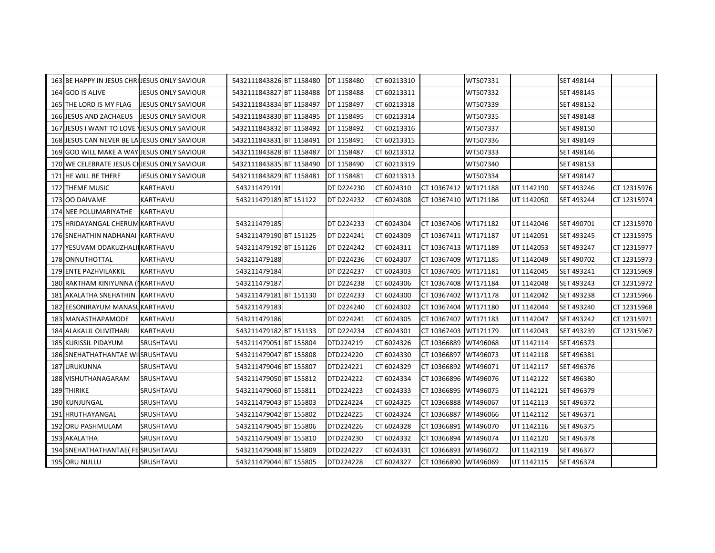| 163 BE HAPPY IN JESUS CHRIJESUS ONLY SAVIOUR |                           | 5432111843826 BT 1158480 | DT 1158480 | CT 60213310 |                      | WT507331 |            | SET 498144 |             |
|----------------------------------------------|---------------------------|--------------------------|------------|-------------|----------------------|----------|------------|------------|-------------|
| 164 GOD IS ALIVE                             | <b>JESUS ONLY SAVIOUR</b> | 5432111843827 BT 1158488 | DT 1158488 | CT 60213311 |                      | WT507332 |            | SET 498145 |             |
| 165 THE LORD IS MY FLAG                      | JESUS ONLY SAVIOUR        | 5432111843834 BT 1158497 | DT 1158497 | CT 60213318 |                      | WT507339 |            | SET 498152 |             |
| 166 JESUS AND ZACHAEUS                       | JESUS ONLY SAVIOUR        | 5432111843830 BT 1158495 | DT 1158495 | CT 60213314 |                      | WT507335 |            | SET 498148 |             |
| 167 JESUS I WANT TO LOVE JIESUS ONLY SAVIOUR |                           | 5432111843832 BT 1158492 | DT 1158492 | CT 60213316 |                      | WT507337 |            | SET 498150 |             |
| 168 JESUS CAN NEVER BE LATESUS ONLY SAVIOUR  |                           | 5432111843831 BT 1158491 | DT 1158491 | CT 60213315 |                      | WT507336 |            | SET 498149 |             |
| 169 GOD WILL MAKE A WAY JESUS ONLY SAVIOUR   |                           | 5432111843828 BT 1158487 | DT 1158487 | CT 60213312 |                      | WT507333 |            | SET 498146 |             |
| 170 WE CELEBRATE JESUS CHJESUS ONLY SAVIOUR  |                           | 5432111843835 BT 1158490 | DT 1158490 | CT 60213319 |                      | WT507340 |            | SET 498153 |             |
| 171 HE WILL BE THERE                         | <b>JESUS ONLY SAVIOUR</b> | 5432111843829 BT 1158481 | DT 1158481 | CT 60213313 |                      | WT507334 |            | SET 498147 |             |
| 172 THEME MUSIC                              | KARTHAVU                  | 543211479191             | DT D224230 | CT 6024310  | CT 10367412 WT171188 |          | UT 1142190 | SET 493246 | CT 12315976 |
| 173 00 DAIVAME                               | KARTHAVU                  | 543211479189 BT 151122   | DT D224232 | CT 6024308  | CT 10367410 WT171186 |          | UT 1142050 | SET 493244 | CT 12315974 |
| 174 NEE POLUMARIYATHE                        | <b>KARTHAVU</b>           |                          |            |             |                      |          |            |            |             |
| 175 HRIDAYANGAL CHERUM KARTHAVU              |                           | 543211479185             | DT D224233 | CT 6024304  | CT 10367406 WT171182 |          | UT 1142046 | SET 490701 | CT 12315970 |
| 176 SNEHATHIN NADHANAI KARTHAVU              |                           | 543211479190 BT 151125   | DT D224241 | CT 6024309  | CT 10367411 WT171187 |          | UT 1142051 | SET 493245 | CT 12315975 |
| 177 YESUVAM ODAKUZHALI KARTHAVU              |                           | 543211479192 BT 151126   | DT D224242 | CT 6024311  | CT 10367413 WT171189 |          | UT 1142053 | SET 493247 | CT 12315977 |
| 178 ONNUTHOTTAL                              | KARTHAVU                  | 543211479188             | DT D224236 | CT 6024307  | CT 10367409          | WT171185 | UT 1142049 | SET 490702 | CT 12315973 |
| 179 ENTE PAZHVILAKKIL                        | KARTHAVU                  | 543211479184             | DT D224237 | CT 6024303  | CT 10367405          | WT171181 | UT 1142045 | SET 493241 | CT 12315969 |
| 180 RAKTHAM KINIYUNNA (I KARTHAVU            |                           | 543211479187             | DT D224238 | CT 6024306  | CT 10367408          | WT171184 | UT 1142048 | SET 493243 | CT 12315972 |
| 181 AKALATHA SNEHATHIN                       | KARTHAVU                  | 543211479181 BT 151130   | DT D224233 | CT 6024300  | CT 10367402          | WT171178 | UT 1142042 | SET 493238 | CT 12315966 |
| 182 EESONIRAYUM MANASUKARTHAVU               |                           | 543211479183             | DT D224240 | CT 6024302  | CT 10367404          | WT171180 | UT 1142044 | SET 493240 | CT 12315968 |
| 183 MANASTHAPAMODE                           | KARTHAVU                  | 543211479186             | DT D224241 | CT 6024305  | CT 10367407          | WT171183 | UT 1142047 | SET 493242 | CT 12315971 |
| 184 ALAKALIL OLIVITHARI                      | <b>KARTHAVU</b>           | 543211479182 BT 151133   | DT D224234 | CT 6024301  | CT 10367403          | WT171179 | UT 1142043 | SET 493239 | CT 12315967 |
| 185 KURISSIL PIDAYUM                         | SRUSHTAVU                 | 543211479051 BT 155804   | DTD224219  | CT 6024326  | CT 10366889          | WT496068 | UT 1142114 | SET 496373 |             |
| 186 SNEHATHATHANTAE WI SRUSHTAVU             |                           | 543211479047 BT 155808   | DTD224220  | CT 6024330  | CT 10366897          | WT496073 | UT 1142118 | SET 496381 |             |
| <b>187 URUKUNNA</b>                          | SRUSHTAVU                 | 543211479046 BT 155807   | DTD224221  | CT 6024329  | CT 10366892          | WT496071 | UT 1142117 | SET 496376 |             |
| 188 VISHUTHANAGARAM                          | SRUSHTAVU                 | 543211479050 BT 155812   | DTD224222  | CT 6024334  | CT 10366896          | WT496076 | UT 1142122 | SET 496380 |             |
| 189 THIRIKE                                  | SRUSHTAVU                 | 543211479060 BT 155811   | DTD224223  | CT 6024333  | CT 10366895          | WT496075 | UT 1142121 | SET 496379 |             |
| 190 KUNJUNGAL                                | SRUSHTAVU                 | 543211479043 BT 155803   | DTD224224  | CT 6024325  | CT 10366888          | WT496067 | UT 1142113 | SET 496372 |             |
| 191 HRUTHAYANGAL                             | SRUSHTAVU                 | 543211479042 BT 155802   | DTD224225  | CT 6024324  | CT 10366887          | WT496066 | UT 1142112 | SET 496371 |             |
| 192 ORU PASHMULAM                            | SRUSHTAVU                 | 543211479045 BT 155806   | DTD224226  | CT 6024328  | CT 10366891          | WT496070 | UT 1142116 | SET 496375 |             |
| 193 AKALATHA                                 | SRUSHTAVU                 | 543211479049 BT 155810   | DTD224230  | CT 6024332  | CT 10366894          | WT496074 | UT 1142120 | SET 496378 |             |
| 194 SNEHATHATHANTAE( FE SRUSHTAVU            |                           | 543211479048 BT 155809   | DTD224227  | CT 6024331  | CT 10366893          | WT496072 | UT 1142119 | SET 496377 |             |
| 195 ORU NULLU                                | SRUSHTAVU                 | 543211479044 BT 155805   | DTD224228  | CT 6024327  | CT 10366890 WT496069 |          | UT 1142115 | SET 496374 |             |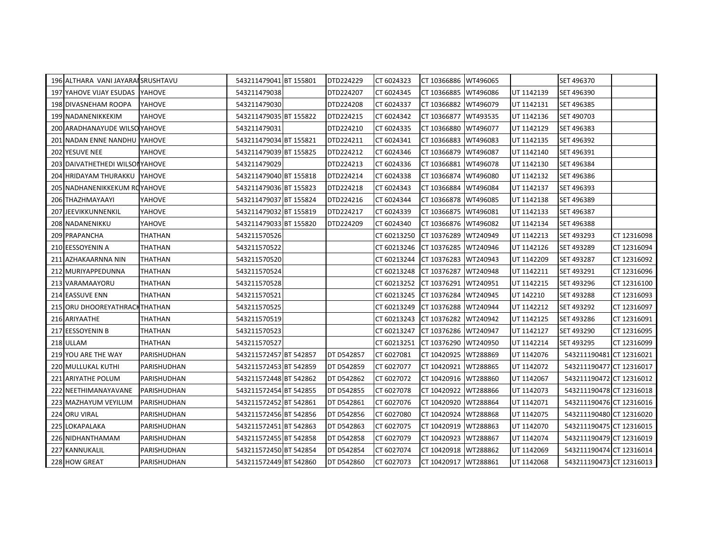| 196 ALTHARA VANI JAYARAI SRUSHTAVU |                | 543211479041 BT 155801 | DTD224229         | CT 6024323  | CT 10366886 WT496065 |          |            | SET 496370               |             |
|------------------------------------|----------------|------------------------|-------------------|-------------|----------------------|----------|------------|--------------------------|-------------|
| 197 YAHOVE VIJAY ESUDAS YAHOVE     |                | 543211479038           | DTD224207         | CT 6024345  | CT 10366885          | WT496086 | UT 1142139 | SET 496390               |             |
| 198 DIVASNEHAM ROOPA               | YAHOVE         | 543211479030           | DTD224208         | CT 6024337  | CT 10366882          | WT496079 | UT 1142131 | SET 496385               |             |
| 199 NADANENIKKEKIM                 | YAHOVE         | 543211479035 BT 155822 | DTD224215         | CT 6024342  | CT 10366877          | WT493535 | UT 1142136 | SET 490703               |             |
| 200 ARADHANAYUDE WILSO YAHOVE      |                | 543211479031           | DTD224210         | CT 6024335  | CT 10366880          | WT496077 | UT 1142129 | SET 496383               |             |
| 201 NADAN ENNE NANDHU YAHOVE       |                | 543211479034 BT 155821 | DTD224211         | CT 6024341  | CT 10366883          | WT496083 | UT 1142135 | SET 496392               |             |
| 202 YESUVE NEE                     | YAHOVE         | 543211479039 BT 155825 | DTD224212         | CT 6024346  | CT 10366879          | WT496087 | UT 1142140 | SET 496391               |             |
| 203 DAIVATHETHEDI WILSONYAHOVE     |                | 543211479029           | DTD224213         | CT 6024336  | CT 10366881          | WT496078 | UT 1142130 | SET 496384               |             |
| 204 HRIDAYAM THURAKKU              | YAHOVE         | 543211479040 BT 155818 | DTD224214         | CT 6024338  | CT 10366874          | WT496080 | UT 1142132 | SET 496386               |             |
| 205 NADHANENIKKEKUM ROYAHOVE       |                | 543211479036 BT 155823 | DTD224218         | CT 6024343  | CT 10366884          | WT496084 | UT 1142137 | SET 496393               |             |
| 206 THAZHMAYAAYI                   | YAHOVE         | 543211479037 BT 155824 | DTD224216         | CT 6024344  | CT 10366878          | WT496085 | UT 1142138 | SET 496389               |             |
| 207 JEEVIKKUNNENKIL                | YAHOVE         | 543211479032 BT 155819 | DTD224217         | CT 6024339  | CT 10366875          | WT496081 | UT 1142133 | SET 496387               |             |
| 208 NADANENIKKU                    | YAHOVE         | 543211479033 BT 155820 | DTD224209         | CT 6024340  | CT 10366876          | WT496082 | UT 1142134 | SET 496388               |             |
| 209 PRAPANCHA                      | <b>THATHAN</b> | 543211570526           |                   | CT 60213250 | CT 10376289          | WT240949 | UT 1142213 | SET 493293               | CT 12316098 |
| 210 EESSOYENIN A                   | THATHAN        | 543211570522           |                   | CT 60213246 | CT 10376285          | WT240946 | UT 1142126 | SET 493289               | CT 12316094 |
| 211 AZHAKAARNNA NIN                | THATHAN        | 543211570520           |                   | CT 60213244 | CT 10376283          | WT240943 | UT 1142209 | SET 493287               | CT 12316092 |
| 212 MURIYAPPEDUNNA                 | <b>THATHAN</b> | 543211570524           |                   | CT 60213248 | CT 10376287          | WT240948 | UT 1142211 | SET 493291               | CT 12316096 |
| 213 VARAMAAYORU                    | THATHAN        | 543211570528           |                   | CT 60213252 | CT 10376291          | WT240951 | UT 1142215 | SET 493296               | CT 12316100 |
| 214 EASSUVE ENN                    | THATHAN        | 543211570521           |                   | CT 60213245 | CT 10376284          | WT240945 | UT 142210  | SET 493288               | CT 12316093 |
| 215 ORU DHOOREYATHRACK THATHAN     |                | 543211570525           |                   | CT 60213249 | CT 10376288          | WT240944 | UT 1142212 | SET 493292               | CT 12316097 |
| 216 ARIYAATHE                      | THATHAN        | 543211570519           |                   | CT 60213243 | CT 10376282          | WT240942 | UT 1142125 | SET 493286               | CT 12316091 |
| 217 EESSOYENIN B                   | THATHAN        | 543211570523           |                   | CT 60213247 | CT 10376286          | WT240947 | UT 1142127 | SET 493290               | CT 12316095 |
| 218 ULLAM                          | THATHAN        | 543211570527           |                   | CT 60213251 | CT 10376290          | WT240950 | UT 1142214 | SET 493295               | CT 12316099 |
| 219 YOU ARE THE WAY                | PARISHUDHAN    | 543211572457 BT 542857 | DT D542857        | CT 6027081  | CT 10420925          | WT288869 | UT 1142076 | 543211190481 CT 12316021 |             |
| 220 MULLUKAL KUTHI                 | PARISHUDHAN    | 543211572453 BT 542859 | DT D542859        | CT 6027077  | CT 10420921          | WT288865 | UT 1142072 | 543211190477 CT 12316017 |             |
| 221 ARIYATHE POLUM                 | PARISHUDHAN    | 543211572448 BT 542862 | DT D542862        | CT 6027072  | CT 10420916          | WT288860 | UT 1142067 | 543211190472 CT 12316012 |             |
| 222 NEETHIMANAYAVANE               | PARISHUDHAN    | 543211572454 BT 542855 | DT D542855        | CT 6027078  | CT 10420922          | WT288866 | UT 1142073 | 543211190478 CT 12316018 |             |
| 223 MAZHAYUM VEYILUM               | PARISHUDHAN    | 543211572452 BT 542861 | <b>DT D542861</b> | CT 6027076  | CT 10420920          | WT288864 | UT 1142071 | 543211190476 CT 12316016 |             |
| 224 ORU VIRAL                      | PARISHUDHAN    | 543211572456 BT 542856 | DT D542856        | CT 6027080  | CT 10420924          | WT288868 | UT 1142075 | 543211190480 CT 12316020 |             |
| 225 LOKAPALAKA                     | PARISHUDHAN    | 543211572451 BT 542863 | DT D542863        | CT 6027075  | CT 10420919          | WT288863 | UT 1142070 | 543211190475 CT 12316015 |             |
| 226 NIDHANTHAMAM                   | PARISHUDHAN    | 543211572455 BT 542858 | DT D542858        | CT 6027079  | CT 10420923          | WT288867 | UT 1142074 | 543211190479 CT 12316019 |             |
| 227 KANNUKALIL                     | PARISHUDHAN    | 543211572450 BT 542854 | DT D542854        | CT 6027074  | CT 10420918          | WT288862 | UT 1142069 | 543211190474 CT 12316014 |             |
| 228 HOW GREAT                      | PARISHUDHAN    | 543211572449 BT 542860 | DT D542860        | CT 6027073  | CT 10420917 WT288861 |          | UT 1142068 | 543211190473 CT 12316013 |             |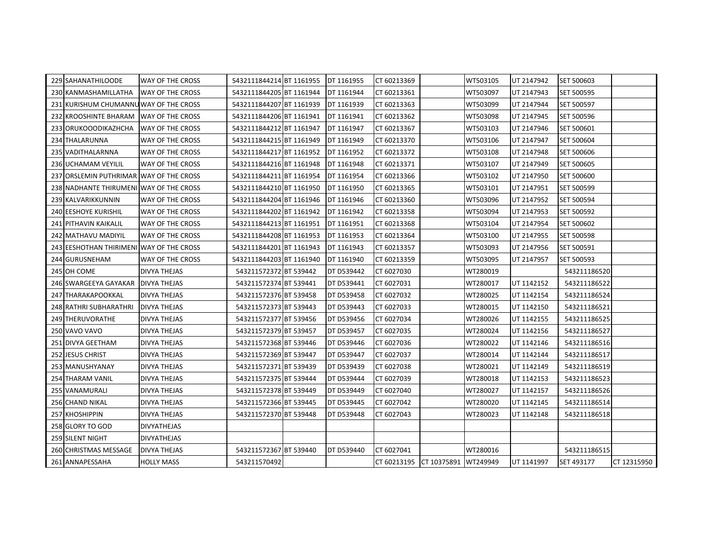| 229 SAHANATHILOODE                       | <b>WAY OF THE CROSS</b> | 5432111844214 BT 1161955 | DT 1161955        | CT 60213369                      | WT503105 | UT 2147942 | SET 500603        |             |
|------------------------------------------|-------------------------|--------------------------|-------------------|----------------------------------|----------|------------|-------------------|-------------|
| 230 KANMASHAMILLATHA                     | WAY OF THE CROSS        | 5432111844205 BT 1161944 | DT 1161944        | CT 60213361                      | WT503097 | UT 2147943 | SET 500595        |             |
| 231 KURISHUM CHUMANNU WAY OF THE CROSS   |                         | 5432111844207 BT 1161939 | DT 1161939        | CT 60213363                      | WT503099 | UT 2147944 | SET 500597        |             |
| 232 KROOSHINTE BHARAM                    | <b>WAY OF THE CROSS</b> | 5432111844206 BT 1161941 | DT 1161941        | CT 60213362                      | WT503098 | UT 2147945 | SET 500596        |             |
| 233 ORUKOOODIKAZHCHA                     | <b>WAY OF THE CROSS</b> | 5432111844212 BT 1161947 | DT 1161947        | CT 60213367                      | WT503103 | UT 2147946 | SET 500601        |             |
| 234 THALARUNNA                           | WAY OF THE CROSS        | 5432111844215 BT 1161949 | DT 1161949        | CT 60213370                      | WT503106 | UT 2147947 | SET 500604        |             |
| 235 VADITHALARNNA                        | <b>WAY OF THE CROSS</b> | 5432111844217 BT 1161952 | DT 1161952        | CT 60213372                      | WT503108 | UT 2147948 | SET 500606        |             |
| 236 UCHAMAM VEYILIL                      | WAY OF THE CROSS        | 5432111844216 BT 1161948 | DT 1161948        | CT 60213371                      | WT503107 | UT 2147949 | SET 500605        |             |
| 237 ORSLEMIN PUTHRIMAR WAY OF THE CROSS  |                         | 5432111844211 BT 1161954 | DT 1161954        | CT 60213366                      | WT503102 | UT 2147950 | <b>SET 500600</b> |             |
| 238 NADHANTE THIRUMENI WAY OF THE CROSS  |                         | 5432111844210 BT 1161950 | DT 1161950        | CT 60213365                      | WT503101 | UT 2147951 | SET 500599        |             |
| 239 KALVARIKKUNNIN                       | <b>WAY OF THE CROSS</b> | 5432111844204 BT 1161946 | DT 1161946        | CT 60213360                      | WT503096 | UT 2147952 | SET 500594        |             |
| <b>240 EESHOYE KURISHIL</b>              | <b>WAY OF THE CROSS</b> | 5432111844202 BT 1161942 | DT 1161942        | CT 60213358                      | WT503094 | UT 2147953 | SET 500592        |             |
| 241 PITHAVIN KAIKALIL                    | <b>WAY OF THE CROSS</b> | 5432111844213 BT 1161951 | DT 1161951        | CT 60213368                      | WT503104 | UT 2147954 | SET 500602        |             |
| 242 MATHAVU MADIYIL                      | WAY OF THE CROSS        | 5432111844208 BT 1161953 | DT 1161953        | CT 60213364                      | WT503100 | UT 2147955 | SET 500598        |             |
| 243 EESHOTHAN THIRIMENI WAY OF THE CROSS |                         | 5432111844201 BT 1161943 | DT 1161943        | CT 60213357                      | WT503093 | UT 2147956 | SET 500591        |             |
| 244 GURUSNEHAM                           | WAY OF THE CROSS        | 5432111844203 BT 1161940 | DT 1161940        | CT 60213359                      | WT503095 | UT 2147957 | SET 500593        |             |
| 245 OH COME                              | <b>DIVYA THEJAS</b>     | 543211572372 BT 539442   | DT D539442        | CT 6027030                       | WT280019 |            | 543211186520      |             |
| 246 SWARGEEYA GAYAKAR                    | <b>DIVYA THEJAS</b>     | 543211572374 BT 539441   | DT D539441        | CT 6027031                       | WT280017 | UT 1142152 | 543211186522      |             |
| 247 THARAKAPOOKKAL                       | <b>DIVYA THEJAS</b>     | 543211572376 BT 539458   | <b>DT D539458</b> | CT 6027032                       | WT280025 | UT 1142154 | 543211186524      |             |
| 248 RATHRI SUBHARATHRI                   | <b>DIVYA THEJAS</b>     | 543211572373 BT 539443   | DT D539443        | CT 6027033                       | WT280015 | UT 1142150 | 543211186521      |             |
| 249 THERUVORATHE                         | <b>DIVYA THEJAS</b>     | 543211572377 BT 539456   | DT D539456        | CT 6027034                       | WT280026 | UT 1142155 | 543211186525      |             |
| 250 VAVO VAVO                            | DIVYA THEJAS            | 543211572379 BT 539457   | DT D539457        | CT 6027035                       | WT280024 | UT 1142156 | 543211186527      |             |
| 251 DIVYA GEETHAM                        | DIVYA THEJAS            | 543211572368 BT 539446   | DT D539446        | CT 6027036                       | WT280022 | UT 1142146 | 543211186516      |             |
| 252 JESUS CHRIST                         | DIVYA THEJAS            | 543211572369 BT 539447   | DT D539447        | CT 6027037                       | WT280014 | UT 1142144 | 543211186517      |             |
| 253 MANUSHYANAY                          | <b>DIVYA THEJAS</b>     | 543211572371 BT 539439   | DT D539439        | CT 6027038                       | WT280021 | UT 1142149 | 543211186519      |             |
| 254 THARAM VANIL                         | <b>DIVYA THEJAS</b>     | 543211572375 BT 539444   | DT D539444        | CT 6027039                       | WT280018 | UT 1142153 | 543211186523      |             |
| 255 VANAMURALI                           | DIVYA THEJAS            | 543211572378 BT 539449   | DT D539449        | CT 6027040                       | WT280027 | UT 1142157 | 543211186526      |             |
| 256 CHAND NIKAL                          | <b>DIVYA THEJAS</b>     | 543211572366 BT 539445   | DT D539445        | CT 6027042                       | WT280020 | UT 1142145 | 543211186514      |             |
| 257 KHOSHIPPIN                           | <b>DIVYA THEJAS</b>     | 543211572370 BT 539448   | DT D539448        | CT 6027043                       | WT280023 | UT 1142148 | 543211186518      |             |
| 258 GLORY TO GOD                         | <b>DIVYATHEJAS</b>      |                          |                   |                                  |          |            |                   |             |
| 259 SILENT NIGHT                         | <b>DIVYATHEJAS</b>      |                          |                   |                                  |          |            |                   |             |
| 260 CHRISTMAS MESSAGE                    | <b>DIVYA THEJAS</b>     | 543211572367 BT 539440   | DT D539440        | CT 6027041                       | WT280016 |            | 543211186515      |             |
| 261 ANNAPESSAHA                          | <b>HOLLY MASS</b>       | 543211570492             |                   | CT 60213195 CT 10375891 WT249949 |          | UT 1141997 | SET 493177        | CT 12315950 |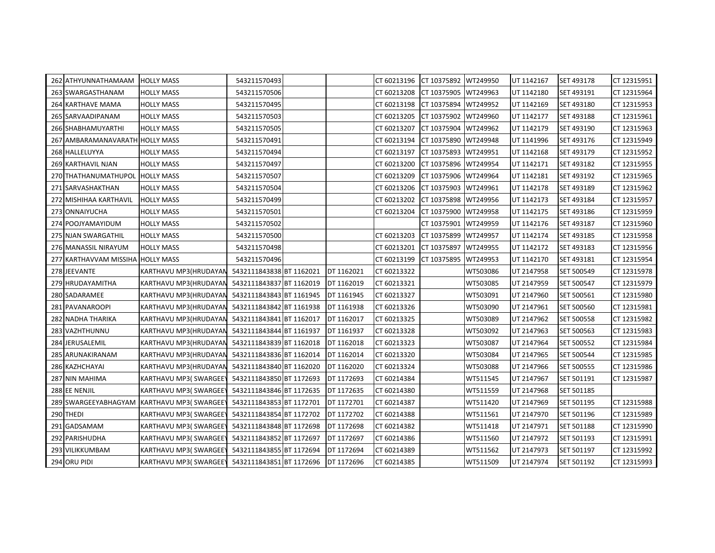| 262 ATHYUNNATHAMAAM             | <b>HOLLY MASS</b>                                         | 543211570493             |            | CT 60213196 CT 10375892 WT249950 |                      |          | UT 1142167 | SET 493178 | CT 12315951 |
|---------------------------------|-----------------------------------------------------------|--------------------------|------------|----------------------------------|----------------------|----------|------------|------------|-------------|
| 263 SWARGASTHANAM               | <b>HOLLY MASS</b>                                         | 543211570506             |            | CT 60213208                      | CT 10375905          | WT249963 | UT 1142180 | SET 493191 | CT 12315964 |
| 264 KARTHAVE MAMA               | <b>HOLLY MASS</b>                                         | 543211570495             |            | CT 60213198                      | CT 10375894          | WT249952 | UT 1142169 | SET 493180 | CT 12315953 |
| 265 SARVAADIPANAM               | <b>HOLLY MASS</b>                                         | 543211570503             |            | CT 60213205                      | CT 10375902          | WT249960 | UT 1142177 | SET 493188 | CT 12315961 |
| 266 SHABHAMUYARTHI              | <b>HOLLY MASS</b>                                         | 543211570505             |            | CT 60213207                      | CT 10375904          | WT249962 | UT 1142179 | SET 493190 | CT 12315963 |
| 267 AMBARAMANAVARATH HOLLY MASS |                                                           | 543211570491             |            | CT 60213194                      | CT 10375890 WT249948 |          | UT 1141996 | SET 493176 | CT 12315949 |
| 268 HALLELUYYA                  | <b>HOLLY MASS</b>                                         | 543211570494             |            | CT 60213197                      | CT 10375893          | WT249951 | UT 1142168 | SET 493179 | CT 12315952 |
| 269 KARTHAVIL NJAN              | <b>HOLLY MASS</b>                                         | 543211570497             |            | CT 60213200                      | CT 10375896          | WT249954 | UT 1142171 | SET 493182 | CT 12315955 |
| 270 THATHANUMATHUPOL            | <b>HOLLY MASS</b>                                         | 543211570507             |            | CT 60213209                      | CT 10375906          | WT249964 | UT 1142181 | SET 493192 | CT 12315965 |
| 271 SARVASHAKTHAN               | <b>HOLLY MASS</b>                                         | 543211570504             |            | CT 60213206                      | CT 10375903          | WT249961 | UT 1142178 | SET 493189 | CT 12315962 |
| 272 MISHIHAA KARTHAVIL          | <b>HOLLY MASS</b>                                         | 543211570499             |            | CT 60213202                      | CT 10375898          | WT249956 | UT 1142173 | SET 493184 | CT 12315957 |
| 273 ONNAIYUCHA                  | <b>HOLLY MASS</b>                                         | 543211570501             |            | CT 60213204                      | CT 10375900          | WT249958 | UT 1142175 | SET 493186 | CT 12315959 |
| 274 POOJYAMAYIDUM               | <b>HOLLY MASS</b>                                         | 543211570502             |            |                                  | CT 10375901          | WT249959 | UT 1142176 | SET 493187 | CT 12315960 |
| 275 NJAN SWARGATHIL             | <b>HOLLY MASS</b>                                         | 543211570500             |            | CT 60213203                      | CT 10375899          | WT249957 | UT 1142174 | SET 493185 | CT 12315958 |
| 276 MANASSIL NIRAYUM            | <b>HOLLY MASS</b>                                         | 543211570498             |            | CT 60213201                      | CT 10375897          | WT249955 | UT 1142172 | SET 493183 | CT 12315956 |
| 277 KARTHAVVAM MISSIHA          | <b>HOLLY MASS</b>                                         | 543211570496             |            | CT 60213199                      | CT 10375895          | WT249953 | UT 1142170 | SET 493181 | CT 12315954 |
| 278 JEEVANTE                    | KARTHAVU MP3(HRUDAYAN                                     | 5432111843838 BT 1162021 | DT 1162021 | CT 60213322                      |                      | WT503086 | UT 2147958 | SET 500549 | CT 12315978 |
| 279 HRUDAYAMITHA                | KARTHAVU MP3(HRUDAYAN                                     | 5432111843837 BT 1162019 | DT 1162019 | CT 60213321                      |                      | WT503085 | UT 2147959 | SET 500547 | CT 12315979 |
| 280 SADARAMEE                   | KARTHAVU MP3(HRUDAYAN                                     | 5432111843843 BT 1161945 | DT 1161945 | CT 60213327                      |                      | WT503091 | UT 2147960 | SET 500561 | CT 12315980 |
| 281 PAVANAROOPI                 | KARTHAVU MP3(HRUDAYAN                                     | 5432111843842 BT 1161938 | DT 1161938 | CT 60213326                      |                      | WT503090 | UT 2147961 | SET 500560 | CT 12315981 |
| 282 NADHA THARIKA               | KARTHAVU MP3(HRUDAYAN                                     | 5432111843841 BT 1162017 | DT 1162017 | CT 60213325                      |                      | WT503089 | UT 2147962 | SET 500558 | CT 12315982 |
| 283 VAZHTHUNNU                  | KARTHAVU MP3(HRUDAYAN                                     | 5432111843844 BT 1161937 | DT 1161937 | CT 60213328                      |                      | WT503092 | UT 2147963 | SET 500563 | CT 12315983 |
| 284 JERUSALEMIL                 | KARTHAVU MP3(HRUDAYAN                                     | 5432111843839 BT 1162018 | DT 1162018 | CT 60213323                      |                      | WT503087 | UT 2147964 | SET 500552 | CT 12315984 |
| 285 ARUNAKIRANAM                | KARTHAVU MP3(HRUDAYAN                                     | 5432111843836 BT 1162014 | DT 1162014 | CT 60213320                      |                      | WT503084 | UT 2147965 | SET 500544 | CT 12315985 |
| 286 KAZHCHAYAI                  | KARTHAVU MP3(HRUDAYAN                                     | 5432111843840 BT 1162020 | DT 1162020 | CT 60213324                      |                      | WT503088 | UT 2147966 | SET 500555 | CT 12315986 |
| 287 NIN MAHIMA                  | KARTHAVU MP3 (SWARGEE)                                    | 5432111843850 BT 1172693 | DT 1172693 | CT 60214384                      |                      | WT511545 | UT 2147967 | SET 501191 | CT 12315987 |
| 288 EE NENJIL                   | KARTHAVU MP3(SWARGEE)                                     | 5432111843846 BT 1172635 | DT 1172635 | CT 60214380                      |                      | WT511559 | UT 2147968 | SET 501185 |             |
| 289 SWARGEEYABHAGYAM            | <b>KARTHAVU MP3(SWARGEE)</b>                              | 5432111843853 BT 1172701 | DT 1172701 | CT 60214387                      |                      | WT511420 | UT 2147969 | SET 501195 | CT 12315988 |
| 290 THEDI                       | KARTHAVU MP3(SWARGEE)                                     | 5432111843854 BT 1172702 | DT 1172702 | CT 60214388                      |                      | WT511561 | UT 2147970 | SET 501196 | CT 12315989 |
| 291 GADSAMAM                    | KARTHAVU MP3(SWARGEE)                                     | 5432111843848 BT 1172698 | DT 1172698 | CT 60214382                      |                      | WT511418 | UT 2147971 | SET 501188 | CT 12315990 |
| 292 PARISHUDHA                  | KARTHAVU MP3(SWARGEE)                                     | 5432111843852 BT 1172697 | DT 1172697 | CT 60214386                      |                      | WT511560 | UT 2147972 | SET 501193 | CT 12315991 |
| 293 VILIKKUMBAM                 | KARTHAVU MP3(SWARGEE)                                     | 5432111843855 BT 1172694 | DT 1172694 | CT 60214389                      |                      | WT511562 | UT 2147973 | SET 501197 | CT 12315992 |
| 294 ORU PIDI                    | KARTHAVU MP3(SWARGEE) 5432111843851 BT 1172696 DT 1172696 |                          |            | CT 60214385                      |                      | WT511509 | UT 2147974 | SET 501192 | CT 12315993 |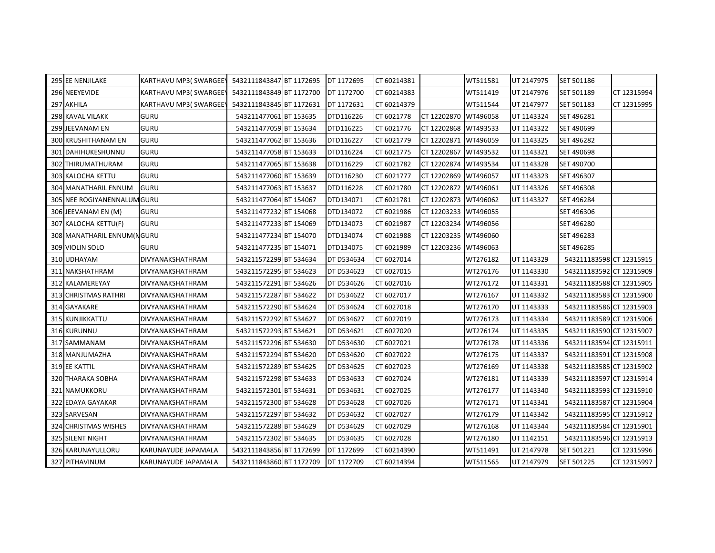| 295 EE NENJILAKE            | KARTHAVU MP3(SWARGEE) | 5432111843847 BT 1172695 | DT 1172695 | CT 60214381 |             | WT511581 | UT 2147975 | SET 501186               |             |
|-----------------------------|-----------------------|--------------------------|------------|-------------|-------------|----------|------------|--------------------------|-------------|
| 296 NEEYEVIDE               | KARTHAVU MP3(SWARGEE) | 5432111843849 BT 1172700 | DT 1172700 | CT 60214383 |             | WT511419 | UT 2147976 | SET 501189               | CT 12315994 |
| 297 AKHILA                  | KARTHAVU MP3(SWARGEE) | 5432111843845 BT 1172631 | DT 1172631 | CT 60214379 |             | WT511544 | UT 2147977 | SET 501183               | CT 12315995 |
| <b>298 KAVAL VILAKK</b>     | <b>GURU</b>           | 543211477061 BT 153635   | DTD116226  | CT 6021778  | CT 12202870 | WT496058 | UT 1143324 | SET 496281               |             |
| 299 JEEVANAM EN             | <b>GURU</b>           | 543211477059 BT 153634   | DTD116225  | CT 6021776  | CT 12202868 | WT493533 | UT 1143322 | SET 490699               |             |
| <b>300 KRUSHITHANAM EN</b>  | <b>GURU</b>           | 543211477062 BT 153636   | DTD116227  | CT 6021779  | CT 12202871 | WT496059 | UT 1143325 | SET 496282               |             |
| 301 DAHIHUKESHUNNU          | <b>GURU</b>           | 543211477058 BT 153633   | DTD116224  | CT 6021775  | CT 12202867 | WT493532 | UT 1143321 | SET 490698               |             |
| 302 THIRUMATHURAM           | <b>GURU</b>           | 543211477065 BT 153638   | DTD116229  | CT 6021782  | CT 12202874 | WT493534 | UT 1143328 | SET 490700               |             |
| 303 KALOCHA KETTU           | <b>GURU</b>           | 543211477060 BT 153639   | DTD116230  | CT 6021777  | CT 12202869 | WT496057 | UT 1143323 | SET 496307               |             |
| 304 MANATHARIL ENNUM        | <b>GURU</b>           | 543211477063 BT 153637   | DTD116228  | CT 6021780  | CT 12202872 | WT496061 | UT 1143326 | SET 496308               |             |
| 305 NEE ROGIYANENNALUM GURU |                       | 543211477064 BT 154067   | DTD134071  | CT 6021781  | CT 12202873 | WT496062 | UT 1143327 | SET 496284               |             |
| 306 JEEVANAM EN (M)         | <b>GURU</b>           | 543211477232 BT 154068   | DTD134072  | CT 6021986  | CT 12203233 | WT496055 |            | SET 496306               |             |
| 307 KALOCHA KETTU(F)        | <b>GURU</b>           | 543211477233 BT 154069   | DTD134073  | CT 6021987  | CT 12203234 | WT496056 |            | SET 496280               |             |
| 308 MANATHARIL ENNUM(NGURU  |                       | 543211477234 BT 154070   | DTD134074  | CT 6021988  | CT 12203235 | WT496060 |            | SET 496283               |             |
| 309 VIOLIN SOLO             | <b>GURU</b>           | 543211477235 BT 154071   | DTD134075  | CT 6021989  | CT 12203236 | WT496063 |            | SET 496285               |             |
| 310 UDHAYAM                 | DIVYANAKSHATHRAM      | 543211572299 BT 534634   | DT D534634 | CT 6027014  |             | WT276182 | UT 1143329 | 543211183598 CT 12315915 |             |
| 311 NAKSHATHRAM             | DIVYANAKSHATHRAM      | 543211572295 BT 534623   | DT D534623 | CT 6027015  |             | WT276176 | UT 1143330 | 543211183592 CT 12315909 |             |
| 312 KALAMEREYAY             | DIVYANAKSHATHRAM      | 543211572291 BT 534626   | DT D534626 | CT 6027016  |             | WT276172 | UT 1143331 | 543211183588 CT 12315905 |             |
| 313 CHRISTMAS RATHRI        | DIVYANAKSHATHRAM      | 543211572287 BT 534622   | DT D534622 | CT 6027017  |             | WT276167 | UT 1143332 | 543211183583 CT 12315900 |             |
| 314 GAYAKARE                | DIVYANAKSHATHRAM      | 543211572290 BT 534624   | DT D534624 | CT 6027018  |             | WT276170 | UT 1143333 | 543211183586 CT 12315903 |             |
| 315 KUNJIKKATTU             | DIVYANAKSHATHRAM      | 543211572292 BT 534627   | DT D534627 | CT 6027019  |             | WT276173 | UT 1143334 | 543211183589 CT 12315906 |             |
| 316 KURUNNU                 | DIVYANAKSHATHRAM      | 543211572293 BT 534621   | DT D534621 | CT 6027020  |             | WT276174 | UT 1143335 | 543211183590 CT 12315907 |             |
| 317 SAMMANAM                | DIVYANAKSHATHRAM      | 543211572296 BT 534630   | DT D534630 | CT 6027021  |             | WT276178 | UT 1143336 | 543211183594 CT 12315911 |             |
| 318 MANJUMAZHA              | DIVYANAKSHATHRAM      | 543211572294 BT 534620   | DT D534620 | CT 6027022  |             | WT276175 | UT 1143337 | 543211183591 CT 12315908 |             |
| 319 EE KATTIL               | DIVYANAKSHATHRAM      | 543211572289 BT 534625   | DT D534625 | CT 6027023  |             | WT276169 | UT 1143338 | 543211183585 CT 12315902 |             |
| 320 THARAKA SOBHA           | DIVYANAKSHATHRAM      | 543211572298 BT 534633   | DT D534633 | CT 6027024  |             | WT276181 | UT 1143339 | 543211183597 CT 12315914 |             |
| 321 NAMUKKORU               | DIVYANAKSHATHRAM      | 543211572301 BT 534631   | DT D534631 | CT 6027025  |             | WT276177 | UT 1143340 | 543211183593 CT 12315910 |             |
| 322 EDAYA GAYAKAR           | DIVYANAKSHATHRAM      | 543211572300 BT 534628   | DT D534628 | CT 6027026  |             | WT276171 | UT 1143341 | 543211183587 CT 12315904 |             |
| 323 SARVESAN                | DIVYANAKSHATHRAM      | 543211572297 BT 534632   | DT D534632 | CT 6027027  |             | WT276179 | UT 1143342 | 543211183595 CT 12315912 |             |
| 324 CHRISTMAS WISHES        | DIVYANAKSHATHRAM      | 543211572288 BT 534629   | DT D534629 | CT 6027029  |             | WT276168 | UT 1143344 | 543211183584 CT 12315901 |             |
| 325 SILENT NIGHT            | DIVYANAKSHATHRAM      | 543211572302 BT 534635   | DT D534635 | CT 6027028  |             | WT276180 | UT 1142151 | 543211183596 CT 12315913 |             |
| 326 KARUNAYULLORU           | KARUNAYUDE JAPAMALA   | 5432111843856 BT 1172699 | DT 1172699 | CT 60214390 |             | WT511491 | UT 2147978 | SET 501221               | CT 12315996 |
| 327 PITHAVINUM              | KARUNAYUDE JAPAMALA   | 5432111843860 BT 1172709 | DT 1172709 | CT 60214394 |             | WT511565 | UT 2147979 | SET 501225               | CT 12315997 |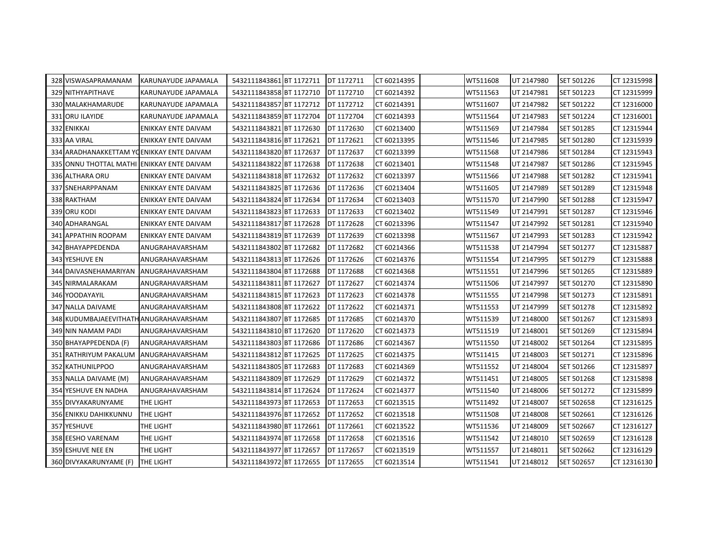| 328 VISWASAPRAMANAM                       | KARUNAYUDE JAPAMALA        | 5432111843861 BT 1172711 | DT 1172711 | CT 60214395 | WT511608 | UT 2147980 | SET 501226 | CT 12315998 |
|-------------------------------------------|----------------------------|--------------------------|------------|-------------|----------|------------|------------|-------------|
| 329 NITHYAPITHAVE                         | KARUNAYUDE JAPAMALA        | 5432111843858 BT 1172710 | DT 1172710 | CT 60214392 | WT511563 | UT 2147981 | SET 501223 | CT 12315999 |
| 330 MALAKHAMARUDE                         | KARUNAYUDE JAPAMALA        | 5432111843857 BT 1172712 | DT 1172712 | CT 60214391 | WT511607 | UT 2147982 | SET 501222 | CT 12316000 |
| 331 ORU ILAYIDE                           | KARUNAYUDE JAPAMALA        | 5432111843859 BT 1172704 | DT 1172704 | CT 60214393 | WT511564 | UT 2147983 | SET 501224 | CT 12316001 |
| 332 ENIKKAI                               | ENIKKAY ENTE DAIVAM        | 5432111843821 BT 1172630 | DT 1172630 | CT 60213400 | WT511569 | UT 2147984 | SET 501285 | CT 12315944 |
| 333 AA VIRAL                              | ENIKKAY ENTE DAIVAM        | 5432111843816 BT 1172621 | DT 1172621 | CT 60213395 | WT511546 | UT 2147985 | SET 501280 | CT 12315939 |
| 334 ARADHANAKKETTAM YOENIKKAY ENTE DAIVAM |                            | 5432111843820 BT 1172637 | DT 1172637 | CT 60213399 | WT511568 | UT 2147986 | SET 501284 | CT 12315943 |
| 335 ONNU THOTTAL MATHI                    | <b>ENIKKAY ENTE DAIVAM</b> | 5432111843822 BT 1172638 | DT 1172638 | CT 60213401 | WT511548 | UT 2147987 | SET 501286 | CT 12315945 |
| 336 ALTHARA ORU                           | ENIKKAY ENTE DAIVAM        | 5432111843818 BT 1172632 | DT 1172632 | CT 60213397 | WT511566 | UT 2147988 | SET 501282 | CT 12315941 |
| 337 SNEHARPPANAM                          | ENIKKAY ENTE DAIVAM        | 5432111843825 BT 1172636 | DT 1172636 | CT 60213404 | WT511605 | UT 2147989 | SET 501289 | CT 12315948 |
| 338 RAKTHAM                               | ENIKKAY ENTE DAIVAM        | 5432111843824 BT 1172634 | DT 1172634 | CT 60213403 | WT511570 | UT 2147990 | SET 501288 | CT 12315947 |
| 339 ORU KODI                              | ENIKKAY ENTE DAIVAM        | 5432111843823 BT 1172633 | DT 1172633 | CT 60213402 | WT511549 | UT 2147991 | SET 501287 | CT 12315946 |
| 340 ADHARANGAL                            | ENIKKAY ENTE DAIVAM        | 5432111843817 BT 1172628 | DT 1172628 | CT 60213396 | WT511547 | UT 2147992 | SET 501281 | CT 12315940 |
| 341 APPATHIN ROOPAM                       | ENIKKAY ENTE DAIVAM        | 5432111843819 BT 1172639 | DT 1172639 | CT 60213398 | WT511567 | UT 2147993 | SET 501283 | CT 12315942 |
| 342 BHAYAPPEDENDA                         | ANUGRAHAVARSHAM            | 5432111843802 BT 1172682 | DT 1172682 | CT 60214366 | WT511538 | UT 2147994 | SET 501277 | CT 12315887 |
| 343 YESHUVE EN                            | ANUGRAHAVARSHAM            | 5432111843813 BT 1172626 | DT 1172626 | CT 60214376 | WT511554 | UT 2147995 | SET 501279 | CT 12315888 |
| 344 DAIVASNEHAMARIYAN                     | ANUGRAHAVARSHAM            | 5432111843804 BT 1172688 | DT 1172688 | CT 60214368 | WT511551 | UT 2147996 | SET 501265 | CT 12315889 |
| 345 NIRMALARAKAM                          | ANUGRAHAVARSHAM            | 5432111843811 BT 1172627 | DT 1172627 | CT 60214374 | WT511506 | UT 2147997 | SET 501270 | CT 12315890 |
| 346 YOODAYAYIL                            | ANUGRAHAVARSHAM            | 5432111843815 BT 1172623 | DT 1172623 | CT 60214378 | WT511555 | UT 2147998 | SET 501273 | CT 12315891 |
| 347 NALLA DAIVAME                         | ANUGRAHAVARSHAM            | 5432111843808 BT 1172622 | DT 1172622 | CT 60214371 | WT511553 | UT 2147999 | SET 501278 | CT 12315892 |
| 348 KUDUMBAJAEEVITHATH ANUGRAHAVARSHAM    |                            | 5432111843807 BT 1172685 | DT 1172685 | CT 60214370 | WT511539 | UT 2148000 | SET 501267 | CT 12315893 |
| 349 NIN NAMAM PADI                        | ANUGRAHAVARSHAM            | 5432111843810 BT 1172620 | DT 1172620 | CT 60214373 | WT511519 | UT 2148001 | SET 501269 | CT 12315894 |
| 350 BHAYAPPEDENDA (F)                     | ANUGRAHAVARSHAM            | 5432111843803 BT 1172686 | DT 1172686 | CT 60214367 | WT511550 | UT 2148002 | SET 501264 | CT 12315895 |
| 351 RATHRIYUM PAKALUM                     | ANUGRAHAVARSHAM            | 5432111843812 BT 1172625 | DT 1172625 | CT 60214375 | WT511415 | UT 2148003 | SET 501271 | CT 12315896 |
| 352 KATHUNILPPOO                          | ANUGRAHAVARSHAM            | 5432111843805 BT 1172683 | DT 1172683 | CT 60214369 | WT511552 | UT 2148004 | SET 501266 | CT 12315897 |
| 353 NALLA DAIVAME (M)                     | ANUGRAHAVARSHAM            | 5432111843809 BT 1172629 | DT 1172629 | CT 60214372 | WT511451 | UT 2148005 | SET 501268 | CT 12315898 |
| 354 YESHUVE EN NADHA                      | ANUGRAHAVARSHAM            | 5432111843814 BT 1172624 | DT 1172624 | CT 60214377 | WT511540 | UT 2148006 | SET 501272 | CT 12315899 |
| 355 DIVYAKARUNYAME                        | THE LIGHT                  | 5432111843973 BT 1172653 | DT 1172653 | CT 60213515 | WT511492 | UT 2148007 | SET 502658 | CT 12316125 |
| <b>356 ENIKKU DAHIKKUNNU</b>              | THE LIGHT                  | 5432111843976 BT 1172652 | DT 1172652 | CT 60213518 | WT511508 | UT 2148008 | SET 502661 | CT 12316126 |
| 357 YESHUVE                               | THE LIGHT                  | 5432111843980 BT 1172661 | DT 1172661 | CT 60213522 | WT511536 | UT 2148009 | SET 502667 | CT 12316127 |
| 358 EESHO VARENAM                         | THE LIGHT                  | 5432111843974 BT 1172658 | DT 1172658 | CT 60213516 | WT511542 | UT 2148010 | SET 502659 | CT 12316128 |
| 359 ESHUVE NEE EN                         | THE LIGHT                  | 5432111843977 BT 1172657 | DT 1172657 | CT 60213519 | WT511557 | UT 2148011 | SET 502662 | CT 12316129 |
| 360 DIVYAKARUNYAME (F)                    | <b>THE LIGHT</b>           | 5432111843972 BT 1172655 | DT 1172655 | CT 60213514 | WT511541 | UT 2148012 | SET 502657 | CT 12316130 |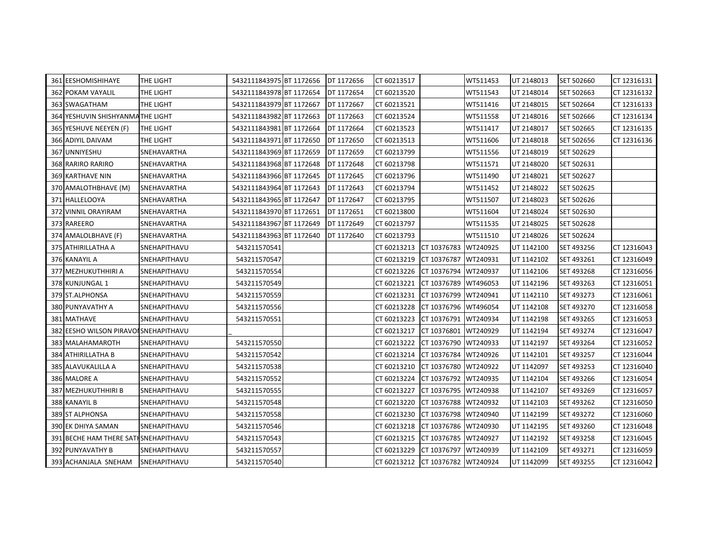| 361 EESHOMISHIHAYE                    | THE LIGHT          | 5432111843975 BT 1172656 | DT 1172656 | CT 60213517                      |             | WT511453 | UT 2148013 | SET 502660 | CT 12316131 |
|---------------------------------------|--------------------|--------------------------|------------|----------------------------------|-------------|----------|------------|------------|-------------|
| <b>362 POKAM VAYALIL</b>              | THE LIGHT          | 5432111843978 BT 1172654 | DT 1172654 | CT 60213520                      |             | WT511543 | UT 2148014 | SET 502663 | CT 12316132 |
| 363 SWAGATHAM                         | THE LIGHT          | 5432111843979 BT 1172667 | DT 1172667 | CT 60213521                      |             | WT511416 | UT 2148015 | SET 502664 | CT 12316133 |
| 364 YESHUVIN SHISHYANMATHE LIGHT      |                    | 5432111843982 BT 1172663 | DT 1172663 | CT 60213524                      |             | WT511558 | UT 2148016 | SET 502666 | CT 12316134 |
| 365 YESHUVE NEEYEN (F)                | THE LIGHT          | 5432111843981 BT 1172664 | DT 1172664 | CT 60213523                      |             | WT511417 | UT 2148017 | SET 502665 | CT 12316135 |
| 366 ADIYIL DAIVAM                     | THE LIGHT          | 5432111843971 BT 1172650 | DT 1172650 | CT 60213513                      |             | WT511606 | UT 2148018 | SET 502656 | CT 12316136 |
| 367 UNNIYESHU                         | SNEHAVARTHA        | 5432111843969 BT 1172659 | DT 1172659 | CT 60213799                      |             | WT511556 | UT 2148019 | SET 502629 |             |
| 368 RARIRO RARIRO                     | SNEHAVARTHA        | 5432111843968 BT 1172648 | DT 1172648 | CT 60213798                      |             | WT511571 | UT 2148020 | SET 502631 |             |
| <b>369 KARTHAVE NIN</b>               | SNEHAVARTHA        | 5432111843966 BT 1172645 | DT 1172645 | CT 60213796                      |             | WT511490 | UT 2148021 | SET 502627 |             |
| 370 AMALOTHBHAVE (M)                  | <b>SNEHAVARTHA</b> | 5432111843964 BT 1172643 | DT 1172643 | CT 60213794                      |             | WT511452 | UT 2148022 | SET 502625 |             |
| 371 HALLELOOYA                        | SNEHAVARTHA        | 5432111843965 BT 1172647 | DT 1172647 | CT 60213795                      |             | WT511507 | UT 2148023 | SET 502626 |             |
| 372 VINNIL ORAYIRAM                   | SNEHAVARTHA        | 5432111843970 BT 1172651 | DT 1172651 | CT 60213800                      |             | WT511604 | UT 2148024 | SET 502630 |             |
| 373 RAREERO                           | SNEHAVARTHA        | 5432111843967 BT 1172649 | DT 1172649 | CT 60213797                      |             | WT511535 | UT 2148025 | SET 502628 |             |
| 374 AMALOLBHAVE (F)                   | SNEHAVARTHA        | 5432111843963 BT 1172640 | DT 1172640 | CT 60213793                      |             | WT511510 | UT 2148026 | SET 502624 |             |
| 375 ATHIRILLATHA A                    | SNEHAPITHAVU       | 543211570541             |            | CT 60213213                      | CT 10376783 | WT240925 | UT 1142100 | SET 493256 | CT 12316043 |
| 376 KANAYIL A                         | SNEHAPITHAVU       | 543211570547             |            | CT 60213219                      | CT 10376787 | WT240931 | UT 1142102 | SET 493261 | CT 12316049 |
| 377 MEZHUKUTHHIRI A                   | SNEHAPITHAVU       | 543211570554             |            | CT 60213226                      | CT 10376794 | WT240937 | UT 1142106 | SET 493268 | CT 12316056 |
| 378 KUNJUNGAL 1                       | SNEHAPITHAVU       | 543211570549             |            | CT 60213221                      | CT 10376789 | WT496053 | UT 1142196 | SET 493263 | CT 12316051 |
| 379 ST.ALPHONSA                       | SNEHAPITHAVU       | 543211570559             |            | CT 60213231                      | CT 10376799 | WT240941 | UT 1142110 | SET 493273 | CT 12316061 |
| 380 PUNYAVATHY A                      | SNEHAPITHAVU       | 543211570556             |            | CT 60213228                      | CT 10376796 | WT496054 | UT 1142108 | SET 493270 | CT 12316058 |
| 381 MATHAVE                           | SNEHAPITHAVU       | 543211570551             |            | CT 60213223                      | CT 10376791 | WT240934 | UT 1142198 | SET 493265 | CT 12316053 |
| 382 EESHO WILSON PIRAVOLSNEHAPITHAVU  |                    |                          |            | CT 60213217                      | CT 10376801 | WT240929 | UT 1142194 | SET 493274 | CT 12316047 |
| 383 MALAHAMAROTH                      | SNEHAPITHAVU       | 543211570550             |            | CT 60213222                      | CT 10376790 | WT240933 | UT 1142197 | SET 493264 | CT 12316052 |
| 384 ATHIRILLATHA B                    | SNEHAPITHAVU       | 543211570542             |            | CT 60213214                      | CT 10376784 | WT240926 | UT 1142101 | SET 493257 | CT 12316044 |
| 385 ALAVUKALILLA A                    | SNEHAPITHAVU       | 543211570538             |            | CT 60213210                      | CT 10376780 | WT240922 | UT 1142097 | SET 493253 | CT 12316040 |
| 386 MALORE A                          | SNEHAPITHAVU       | 543211570552             |            | CT 60213224                      | CT 10376792 | WT240935 | UT 1142104 | SET 493266 | CT 12316054 |
| 387 MEZHUKUTHHIRI B                   | SNEHAPITHAVU       | 543211570555             |            | CT 60213227                      | CT 10376795 | WT240938 | UT 1142107 | SET 493269 | CT 12316057 |
| 388 KANAYIL B                         | SNEHAPITHAVU       | 543211570548             |            | CT 60213220                      | CT 10376788 | WT240932 | UT 1142103 | SET 493262 | CT 12316050 |
| 389 ST ALPHONSA                       | SNEHAPITHAVU       | 543211570558             |            | CT 60213230                      | CT 10376798 | WT240940 | UT 1142199 | SET 493272 | CT 12316060 |
| 390 EK DHIYA SAMAN                    | SNEHAPITHAVU       | 543211570546             |            | CT 60213218                      | CT 10376786 | WT240930 | UT 1142195 | SET 493260 | CT 12316048 |
| 391 BECHE HAM THERE SATH SNEHAPITHAVU |                    | 543211570543             |            | CT 60213215                      | CT 10376785 | WT240927 | UT 1142192 | SET 493258 | CT 12316045 |
| 392 PUNYAVATHY B                      | SNEHAPITHAVU       | 543211570557             |            | CT 60213229                      | CT 10376797 | WT240939 | UT 1142109 | SET 493271 | CT 12316059 |
| 393 ACHANJALA SNEHAM                  | SNEHAPITHAVU       | 543211570540             |            | CT 60213212 CT 10376782 WT240924 |             |          | UT 1142099 | SET 493255 | CT 12316042 |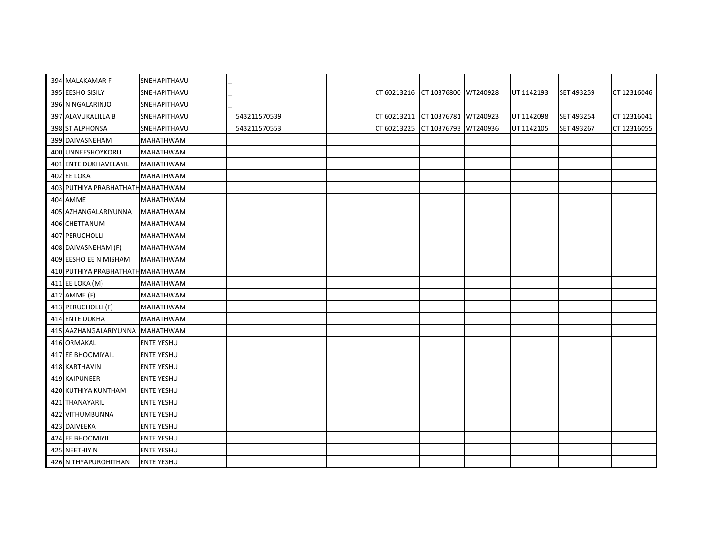| 394 MALAKAMAR F                   | SNEHAPITHAVU      |              |  |             |                      |          |            |            |             |
|-----------------------------------|-------------------|--------------|--|-------------|----------------------|----------|------------|------------|-------------|
| 395 EESHO SISILY                  | SNEHAPITHAVU      |              |  | CT 60213216 | CT 10376800 WT240928 |          | UT 1142193 | SET 493259 | CT 12316046 |
| 396 NINGALARINJO                  | SNEHAPITHAVU      |              |  |             |                      |          |            |            |             |
| 397 ALAVUKALILLA B                | SNEHAPITHAVU      | 543211570539 |  | CT 60213211 | CT 10376781          | WT240923 | UT 1142098 | SET 493254 | CT 12316041 |
| 398 ST ALPHONSA                   | SNEHAPITHAVU      | 543211570553 |  | CT 60213225 | CT 10376793 WT240936 |          | UT 1142105 | SET 493267 | CT 12316055 |
| 399 DAIVASNEHAM                   | <b>MAHATHWAM</b>  |              |  |             |                      |          |            |            |             |
| 400 UNNEESHOYKORU                 | <b>MAHATHWAM</b>  |              |  |             |                      |          |            |            |             |
| <b>401 ENTE DUKHAVELAYIL</b>      | <b>MAHATHWAM</b>  |              |  |             |                      |          |            |            |             |
| 402 EE LOKA                       | <b>MAHATHWAM</b>  |              |  |             |                      |          |            |            |             |
| 403 PUTHIYA PRABHATHATH MAHATHWAM |                   |              |  |             |                      |          |            |            |             |
| 404 AMME                          | <b>MAHATHWAM</b>  |              |  |             |                      |          |            |            |             |
| 405 AZHANGALARIYUNNA              | <b>MAHATHWAM</b>  |              |  |             |                      |          |            |            |             |
| 406 CHETTANUM                     | <b>MAHATHWAM</b>  |              |  |             |                      |          |            |            |             |
| 407 PERUCHOLLI                    | <b>MAHATHWAM</b>  |              |  |             |                      |          |            |            |             |
| 408 DAIVASNEHAM (F)               | <b>MAHATHWAM</b>  |              |  |             |                      |          |            |            |             |
| 409 EESHO EE NIMISHAM             | <b>MAHATHWAM</b>  |              |  |             |                      |          |            |            |             |
| 410 PUTHIYA PRABHATHATH MAHATHWAM |                   |              |  |             |                      |          |            |            |             |
| 411 EE LOKA (M)                   | <b>MAHATHWAM</b>  |              |  |             |                      |          |            |            |             |
| 412 AMME (F)                      | <b>MAHATHWAM</b>  |              |  |             |                      |          |            |            |             |
| 413 PERUCHOLLI (F)                | <b>MAHATHWAM</b>  |              |  |             |                      |          |            |            |             |
| 414 ENTE DUKHA                    | <b>MAHATHWAM</b>  |              |  |             |                      |          |            |            |             |
| 415 AAZHANGALARIYUNNA MAHATHWAM   |                   |              |  |             |                      |          |            |            |             |
| 416 ORMAKAL                       | <b>ENTE YESHU</b> |              |  |             |                      |          |            |            |             |
| 417 EE BHOOMIYAIL                 | <b>ENTE YESHU</b> |              |  |             |                      |          |            |            |             |
| 418 KARTHAVIN                     | <b>ENTE YESHU</b> |              |  |             |                      |          |            |            |             |
| 419 KAIPUNEER                     | <b>ENTE YESHU</b> |              |  |             |                      |          |            |            |             |
| 420 KUTHIYA KUNTHAM               | <b>ENTE YESHU</b> |              |  |             |                      |          |            |            |             |
| 421 THANAYARIL                    | <b>ENTE YESHU</b> |              |  |             |                      |          |            |            |             |
| 422 VITHUMBUNNA                   | <b>ENTE YESHU</b> |              |  |             |                      |          |            |            |             |
| 423 DAIVEEKA                      | <b>ENTE YESHU</b> |              |  |             |                      |          |            |            |             |
| 424 EE BHOOMIYIL                  | <b>ENTE YESHU</b> |              |  |             |                      |          |            |            |             |
| 425 NEETHIYIN                     | <b>ENTE YESHU</b> |              |  |             |                      |          |            |            |             |
| 426 NITHYAPUROHITHAN              | <b>ENTE YESHU</b> |              |  |             |                      |          |            |            |             |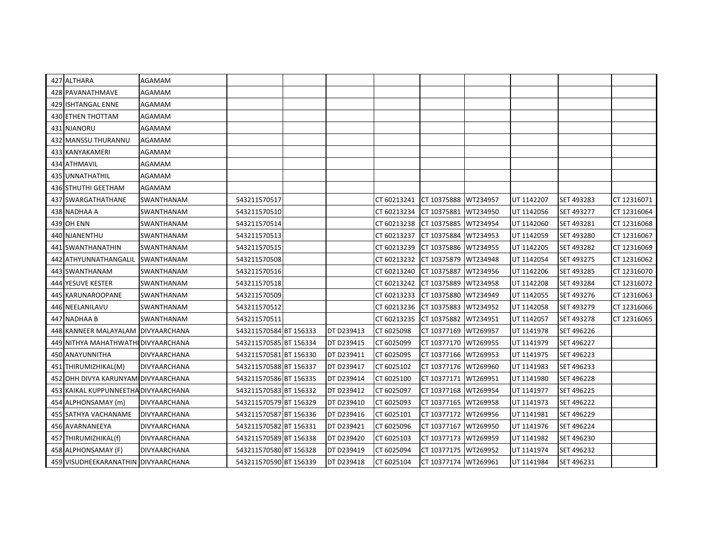| 427 ALTHARA                          | AGAMAM              |                        |                   |             |                      |          |            |            |             |
|--------------------------------------|---------------------|------------------------|-------------------|-------------|----------------------|----------|------------|------------|-------------|
| 428 PAVANATHMAVE                     | AGAMAM              |                        |                   |             |                      |          |            |            |             |
| 429 ISHTANGAL ENNE                   | AGAMAM              |                        |                   |             |                      |          |            |            |             |
| 430 ETHEN THOTTAM                    | AGAMAM              |                        |                   |             |                      |          |            |            |             |
| 431 NJANORU                          | <b>AGAMAM</b>       |                        |                   |             |                      |          |            |            |             |
| 432 MANSSU THURANNU                  | AGAMAM              |                        |                   |             |                      |          |            |            |             |
| 433 KANYAKAMERI                      | AGAMAM              |                        |                   |             |                      |          |            |            |             |
| 434 ATHMAVIL                         | AGAMAM              |                        |                   |             |                      |          |            |            |             |
| 435 UNNATHATHIL                      | AGAMAM              |                        |                   |             |                      |          |            |            |             |
| 436 STHUTHI GEETHAM                  | AGAMAM              |                        |                   |             |                      |          |            |            |             |
| 437 SWARGATHATHANE                   | <b>SWANTHANAM</b>   | 543211570517           |                   | CT 60213241 | CT 10375888          | WT234957 | UT 1142207 | SET 493283 | CT 12316071 |
| 438 NADHAA A                         | SWANTHANAM          | 543211570510           |                   | CT 60213234 | CT 10375881          | WT234950 | UT 1142056 | SET 493277 | CT 12316064 |
| <b>439 OH ENN</b>                    | SWANTHANAM          | 543211570514           |                   | CT 60213238 | CT 10375885          | WT234954 | UT 1142060 | SET 493281 | CT 12316068 |
| 440 NJANENTHU                        | SWANTHANAM          | 543211570513           |                   | CT 60213237 | CT 10375884          | WT234953 | UT 1142059 | SET 493280 | CT 12316067 |
| 441 SWANTHANATHIN                    | SWANTHANAM          | 543211570515           |                   | CT 60213239 | CT 10375886          | WT234955 | UT 1142205 | SET 493282 | CT 12316069 |
| 442 ATHYUNNATHANGALIL                | SWANTHANAM          | 543211570508           |                   | CT 60213232 | CT 10375879          | WT234948 | UT 1142054 | SET 493275 | CT 12316062 |
| 443 SWANTHANAM                       | <b>SWANTHANAM</b>   | 543211570516           |                   | CT 60213240 | CT 10375887          | WT234956 | UT 1142206 | SET 493285 | CT 12316070 |
| 444 YESUVE KESTER                    | SWANTHANAM          | 543211570518           |                   | CT 60213242 | CT 10375889          | WT234958 | UT 1142208 | SET 493284 | CT 12316072 |
| 445 KARUNAROOPANE                    | <b>SWANTHANAM</b>   | 543211570509           |                   | CT 60213233 | CT 10375880          | WT234949 | UT 1142055 | SET 493276 | CT 12316063 |
| 446 NEELANILAVU                      | SWANTHANAM          | 543211570512           |                   | CT 60213236 | CT 10375883          | WT234952 | UT 1142058 | SET 493279 | CT 12316066 |
| 447 NADHAA B                         | SWANTHANAM          | 543211570511           |                   | CT 60213235 | CT 10375882          | WT234951 | UT 1142057 | SET 493278 | CT 12316065 |
| 448 KANNEER MALAYALAM DIVYAARCHANA   |                     | 543211570584 BT 156333 | DT D239413        | CT 6025098  | CT 10377169          | WT269957 | UT 1141978 | SET 496226 |             |
| 449 NITHYA MAHATHWATHI DIVYAARCHANA  |                     | 543211570585 BT 156334 | <b>DT D239415</b> | CT 6025099  | CT 10377170          | WT269955 | UT 1141979 | SET 496227 |             |
| 450 ANAYUNNITHA                      | <b>DIVYAARCHANA</b> | 543211570581 BT 156330 | DT D239411        | CT 6025095  | CT 10377166          | WT269953 | UT 1141975 | SET 496223 |             |
| 451 THIRUMIZHIKAL(M)                 | <b>DIVYAARCHANA</b> | 543211570588 BT 156337 | DT D239417        | CT 6025102  | CT 10377176          | WT269960 | UT 1141983 | SET 496233 |             |
| 452 OHH DIVYA KARUNYAM DIVYAARCHANA  |                     | 543211570586 BT 156335 | DT D239414        | CT 6025100  | CT 10377171          | WT269951 | UT 1141980 | SET 496228 |             |
| 453 KAIKAL KUPPUNNEETHA DIVYAARCHANA |                     | 543211570583 BT 156332 | DT D239412        | CT 6025097  | CT 10377168          | WT269954 | UT 1141977 | SET 496225 |             |
| 454 ALPHONSAMAY (m)                  | <b>DIVYAARCHANA</b> | 543211570579 BT 156329 | DT D239410        | CT 6025093  | CT 10377165          | WT269958 | UT 1141973 | SET 496222 |             |
| 455 SATHYA VACHANAME                 | <b>DIVYAARCHANA</b> | 543211570587 BT 156336 | DT D239416        | CT 6025101  | CT 10377172          | WT269956 | UT 1141981 | SET 496229 |             |
| 456 AVARNANEEYA                      | <b>DIVYAARCHANA</b> | 543211570582 BT 156331 | DT D239421        | CT 6025096  | CT 10377167          | WT269950 | UT 1141976 | SET 496224 |             |
| 457 THIRUMIZHIKAL(f)                 | <b>DIVYAARCHANA</b> | 543211570589 BT 156338 | DT D239420        | CT 6025103  | CT 10377173          | WT269959 | UT 1141982 | SET 496230 |             |
| 458 ALPHONSAMAY (F)                  | DIVYAARCHANA        | 543211570580 BT 156328 | DT D239419        | CT 6025094  | CT 10377175          | WT269952 | UT 1141974 | SET 496232 |             |
| 459 VISUDHEEKARANATHIN DIVYAARCHANA  |                     | 543211570590 BT 156339 | DT D239418        | CT 6025104  | CT 10377174 WT269961 |          | UT 1141984 | SET 496231 |             |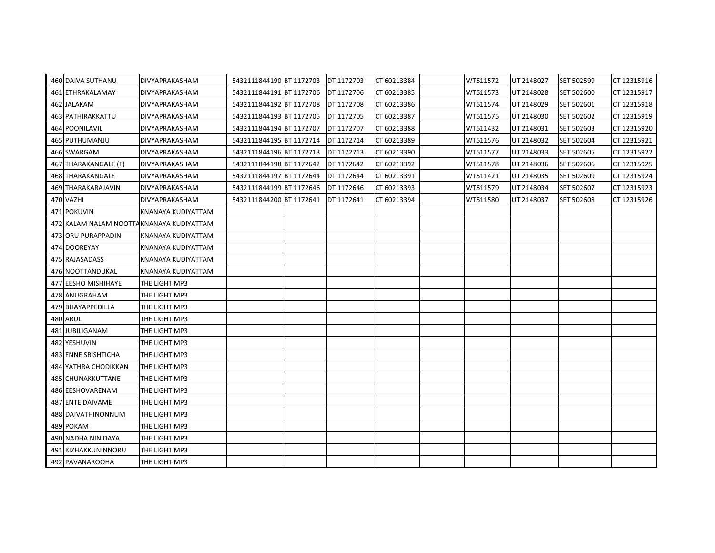| 460 DAIVA SUTHANU                        | <b>DIVYAPRAKASHAM</b> | 5432111844190 BT 1172703 | DT 1172703 | CT 60213384 | WT511572 | UT 2148027 | SET 502599 | CT 12315916 |
|------------------------------------------|-----------------------|--------------------------|------------|-------------|----------|------------|------------|-------------|
| 461 ETHRAKALAMAY                         | <b>DIVYAPRAKASHAM</b> | 5432111844191 BT 1172706 | DT 1172706 | CT 60213385 | WT511573 | UT 2148028 | SET 502600 | CT 12315917 |
| 462 JALAKAM                              | <b>DIVYAPRAKASHAM</b> | 5432111844192 BT 1172708 | DT 1172708 | CT 60213386 | WT511574 | UT 2148029 | SET 502601 | CT 12315918 |
| <b>463 PATHIRAKKATTU</b>                 | DIVYAPRAKASHAM        | 5432111844193 BT 1172705 | DT 1172705 | CT 60213387 | WT511575 | UT 2148030 | SET 502602 | CT 12315919 |
| 464 POONILAVIL                           | <b>DIVYAPRAKASHAM</b> | 5432111844194 BT 1172707 | DT 1172707 | CT 60213388 | WT511432 | UT 2148031 | SET 502603 | CT 12315920 |
| 465 PUTHUMANJU                           | DIVYAPRAKASHAM        | 5432111844195 BT 1172714 | DT 1172714 | CT 60213389 | WT511576 | UT 2148032 | SET 502604 | CT 12315921 |
| 466 SWARGAM                              | <b>DIVYAPRAKASHAM</b> | 5432111844196 BT 1172713 | DT 1172713 | CT 60213390 | WT511577 | UT 2148033 | SET 502605 | CT 12315922 |
| 467 THARAKANGALE (F)                     | <b>DIVYAPRAKASHAM</b> | 5432111844198 BT 1172642 | DT 1172642 | CT 60213392 | WT511578 | UT 2148036 | SET 502606 | CT 12315925 |
| 468 THARAKANGALE                         | <b>DIVYAPRAKASHAM</b> | 5432111844197 BT 1172644 | DT 1172644 | CT 60213391 | WT511421 | UT 2148035 | SET 502609 | CT 12315924 |
| 469 THARAKARAJAVIN                       | <b>DIVYAPRAKASHAM</b> | 5432111844199 BT 1172646 | DT 1172646 | CT 60213393 | WT511579 | UT 2148034 | SET 502607 | CT 12315923 |
| 470 VAZHI                                | <b>DIVYAPRAKASHAM</b> | 5432111844200 BT 1172641 | DT 1172641 | CT 60213394 | WT511580 | UT 2148037 | SET 502608 | CT 12315926 |
| 471 POKUVIN                              | KNANAYA KUDIYATTAM    |                          |            |             |          |            |            |             |
| 472 KALAM NALAM NOOTTAKNANAYA KUDIYATTAM |                       |                          |            |             |          |            |            |             |
| 473 ORU PURAPPADIN                       | KNANAYA KUDIYATTAM    |                          |            |             |          |            |            |             |
| 474 DOOREYAY                             | KNANAYA KUDIYATTAM    |                          |            |             |          |            |            |             |
| 475 RAJASADASS                           | KNANAYA KUDIYATTAM    |                          |            |             |          |            |            |             |
| 476 NOOTTANDUKAL                         | KNANAYA KUDIYATTAM    |                          |            |             |          |            |            |             |
| 477 EESHO MISHIHAYE                      | THE LIGHT MP3         |                          |            |             |          |            |            |             |
| 478 ANUGRAHAM                            | THE LIGHT MP3         |                          |            |             |          |            |            |             |
| 479 BHAYAPPEDILLA                        | THE LIGHT MP3         |                          |            |             |          |            |            |             |
| 480 ARUL                                 | THE LIGHT MP3         |                          |            |             |          |            |            |             |
| 481 JUBILIGANAM                          | THE LIGHT MP3         |                          |            |             |          |            |            |             |
| 482 YESHUVIN                             | THE LIGHT MP3         |                          |            |             |          |            |            |             |
| 483 ENNE SRISHTICHA                      | THE LIGHT MP3         |                          |            |             |          |            |            |             |
| 484 YATHRA CHODIKKAN                     | THE LIGHT MP3         |                          |            |             |          |            |            |             |
| 485 CHUNAKKUTTANE                        | THE LIGHT MP3         |                          |            |             |          |            |            |             |
| 486 EESHOVARENAM                         | THE LIGHT MP3         |                          |            |             |          |            |            |             |
| 487 ENTE DAIVAME                         | THE LIGHT MP3         |                          |            |             |          |            |            |             |
| 488 DAIVATHINONNUM                       | THE LIGHT MP3         |                          |            |             |          |            |            |             |
| 489 POKAM                                | THE LIGHT MP3         |                          |            |             |          |            |            |             |
| 490 NADHA NIN DAYA                       | THE LIGHT MP3         |                          |            |             |          |            |            |             |
| 491 KIZHAKKUNINNORU                      | THE LIGHT MP3         |                          |            |             |          |            |            |             |
| 492 PAVANAROOHA                          | THE LIGHT MP3         |                          |            |             |          |            |            |             |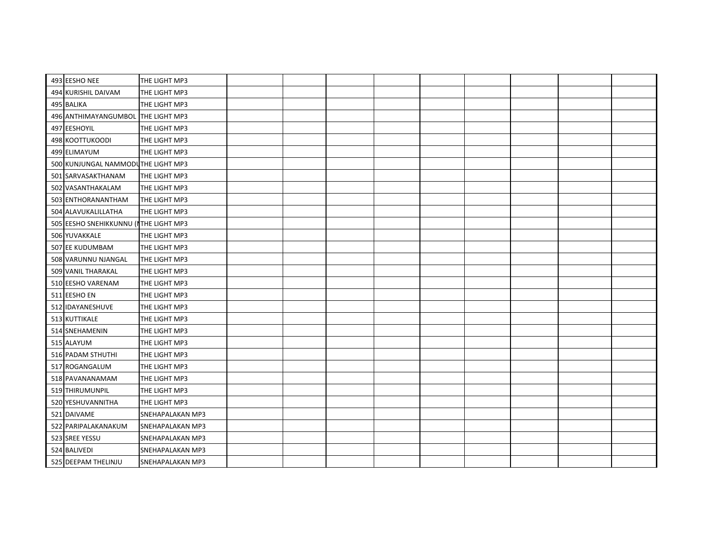| 493 EESHO NEE<br>THE LIGHT MP3<br>494 KURISHIL DAIVAM<br>THE LIGHT MP3<br>495 BALIKA<br>THE LIGHT MP3<br>496 ANTHIMAYANGUMBOL THE LIGHT MP3<br>497 EESHOYIL<br>THE LIGHT MP3<br>498 KOOTTUKOODI<br>THE LIGHT MP3<br>499 ELIMAYUM<br>THE LIGHT MP3<br>500 KUNJUNGAL NAMMODUTHE LIGHT MP3<br>501 SARVASAKTHANAM<br>THE LIGHT MP3<br>502 VASANTHAKALAM<br>THE LIGHT MP3<br>503 ENTHORANANTHAM<br>THE LIGHT MP3<br>504 ALAVUKALILLATHA<br>THE LIGHT MP3<br>505 EESHO SNEHIKKUNNU (ITHE LIGHT MP3<br>506 YUVAKKALE<br>THE LIGHT MP3<br>507 EE KUDUMBAM<br>THE LIGHT MP3<br>508 VARUNNU NJANGAL<br>THE LIGHT MP3<br>509 VANIL THARAKAL<br>THE LIGHT MP3<br>510 EESHO VARENAM<br>THE LIGHT MP3<br>511 EESHO EN<br>THE LIGHT MP3<br>512 IDAYANESHUVE<br>THE LIGHT MP3<br>513 KUTTIKALE<br>THE LIGHT MP3<br>514 SNEHAMENIN<br>THE LIGHT MP3<br>515 ALAYUM<br>THE LIGHT MP3<br>516 PADAM STHUTHI<br>THE LIGHT MP3<br>517 ROGANGALUM<br>THE LIGHT MP3<br>518 PAVANANAMAM<br>THE LIGHT MP3<br>519 THIRUMUNPIL<br>THE LIGHT MP3<br>THE LIGHT MP3<br>520 YESHUVANNITHA<br>521 DAIVAME<br><b>SNEHAPALAKAN MP3</b><br>522 PARIPALAKANAKUM<br><b>SNEHAPALAKAN MP3</b><br>523 SREE YESSU<br>SNEHAPALAKAN MP3<br>524 BALIVEDI<br>SNEHAPALAKAN MP3<br>525 DEEPAM THELINJU<br><b>SNEHAPALAKAN MP3</b> |  |  |  |  |  |  |
|----------------------------------------------------------------------------------------------------------------------------------------------------------------------------------------------------------------------------------------------------------------------------------------------------------------------------------------------------------------------------------------------------------------------------------------------------------------------------------------------------------------------------------------------------------------------------------------------------------------------------------------------------------------------------------------------------------------------------------------------------------------------------------------------------------------------------------------------------------------------------------------------------------------------------------------------------------------------------------------------------------------------------------------------------------------------------------------------------------------------------------------------------------------------------------------------------------------------------------------------------------------------------------|--|--|--|--|--|--|
|                                                                                                                                                                                                                                                                                                                                                                                                                                                                                                                                                                                                                                                                                                                                                                                                                                                                                                                                                                                                                                                                                                                                                                                                                                                                                  |  |  |  |  |  |  |
|                                                                                                                                                                                                                                                                                                                                                                                                                                                                                                                                                                                                                                                                                                                                                                                                                                                                                                                                                                                                                                                                                                                                                                                                                                                                                  |  |  |  |  |  |  |
|                                                                                                                                                                                                                                                                                                                                                                                                                                                                                                                                                                                                                                                                                                                                                                                                                                                                                                                                                                                                                                                                                                                                                                                                                                                                                  |  |  |  |  |  |  |
|                                                                                                                                                                                                                                                                                                                                                                                                                                                                                                                                                                                                                                                                                                                                                                                                                                                                                                                                                                                                                                                                                                                                                                                                                                                                                  |  |  |  |  |  |  |
|                                                                                                                                                                                                                                                                                                                                                                                                                                                                                                                                                                                                                                                                                                                                                                                                                                                                                                                                                                                                                                                                                                                                                                                                                                                                                  |  |  |  |  |  |  |
|                                                                                                                                                                                                                                                                                                                                                                                                                                                                                                                                                                                                                                                                                                                                                                                                                                                                                                                                                                                                                                                                                                                                                                                                                                                                                  |  |  |  |  |  |  |
|                                                                                                                                                                                                                                                                                                                                                                                                                                                                                                                                                                                                                                                                                                                                                                                                                                                                                                                                                                                                                                                                                                                                                                                                                                                                                  |  |  |  |  |  |  |
|                                                                                                                                                                                                                                                                                                                                                                                                                                                                                                                                                                                                                                                                                                                                                                                                                                                                                                                                                                                                                                                                                                                                                                                                                                                                                  |  |  |  |  |  |  |
|                                                                                                                                                                                                                                                                                                                                                                                                                                                                                                                                                                                                                                                                                                                                                                                                                                                                                                                                                                                                                                                                                                                                                                                                                                                                                  |  |  |  |  |  |  |
|                                                                                                                                                                                                                                                                                                                                                                                                                                                                                                                                                                                                                                                                                                                                                                                                                                                                                                                                                                                                                                                                                                                                                                                                                                                                                  |  |  |  |  |  |  |
|                                                                                                                                                                                                                                                                                                                                                                                                                                                                                                                                                                                                                                                                                                                                                                                                                                                                                                                                                                                                                                                                                                                                                                                                                                                                                  |  |  |  |  |  |  |
|                                                                                                                                                                                                                                                                                                                                                                                                                                                                                                                                                                                                                                                                                                                                                                                                                                                                                                                                                                                                                                                                                                                                                                                                                                                                                  |  |  |  |  |  |  |
|                                                                                                                                                                                                                                                                                                                                                                                                                                                                                                                                                                                                                                                                                                                                                                                                                                                                                                                                                                                                                                                                                                                                                                                                                                                                                  |  |  |  |  |  |  |
|                                                                                                                                                                                                                                                                                                                                                                                                                                                                                                                                                                                                                                                                                                                                                                                                                                                                                                                                                                                                                                                                                                                                                                                                                                                                                  |  |  |  |  |  |  |
|                                                                                                                                                                                                                                                                                                                                                                                                                                                                                                                                                                                                                                                                                                                                                                                                                                                                                                                                                                                                                                                                                                                                                                                                                                                                                  |  |  |  |  |  |  |
|                                                                                                                                                                                                                                                                                                                                                                                                                                                                                                                                                                                                                                                                                                                                                                                                                                                                                                                                                                                                                                                                                                                                                                                                                                                                                  |  |  |  |  |  |  |
|                                                                                                                                                                                                                                                                                                                                                                                                                                                                                                                                                                                                                                                                                                                                                                                                                                                                                                                                                                                                                                                                                                                                                                                                                                                                                  |  |  |  |  |  |  |
|                                                                                                                                                                                                                                                                                                                                                                                                                                                                                                                                                                                                                                                                                                                                                                                                                                                                                                                                                                                                                                                                                                                                                                                                                                                                                  |  |  |  |  |  |  |
|                                                                                                                                                                                                                                                                                                                                                                                                                                                                                                                                                                                                                                                                                                                                                                                                                                                                                                                                                                                                                                                                                                                                                                                                                                                                                  |  |  |  |  |  |  |
|                                                                                                                                                                                                                                                                                                                                                                                                                                                                                                                                                                                                                                                                                                                                                                                                                                                                                                                                                                                                                                                                                                                                                                                                                                                                                  |  |  |  |  |  |  |
|                                                                                                                                                                                                                                                                                                                                                                                                                                                                                                                                                                                                                                                                                                                                                                                                                                                                                                                                                                                                                                                                                                                                                                                                                                                                                  |  |  |  |  |  |  |
|                                                                                                                                                                                                                                                                                                                                                                                                                                                                                                                                                                                                                                                                                                                                                                                                                                                                                                                                                                                                                                                                                                                                                                                                                                                                                  |  |  |  |  |  |  |
|                                                                                                                                                                                                                                                                                                                                                                                                                                                                                                                                                                                                                                                                                                                                                                                                                                                                                                                                                                                                                                                                                                                                                                                                                                                                                  |  |  |  |  |  |  |
|                                                                                                                                                                                                                                                                                                                                                                                                                                                                                                                                                                                                                                                                                                                                                                                                                                                                                                                                                                                                                                                                                                                                                                                                                                                                                  |  |  |  |  |  |  |
|                                                                                                                                                                                                                                                                                                                                                                                                                                                                                                                                                                                                                                                                                                                                                                                                                                                                                                                                                                                                                                                                                                                                                                                                                                                                                  |  |  |  |  |  |  |
|                                                                                                                                                                                                                                                                                                                                                                                                                                                                                                                                                                                                                                                                                                                                                                                                                                                                                                                                                                                                                                                                                                                                                                                                                                                                                  |  |  |  |  |  |  |
|                                                                                                                                                                                                                                                                                                                                                                                                                                                                                                                                                                                                                                                                                                                                                                                                                                                                                                                                                                                                                                                                                                                                                                                                                                                                                  |  |  |  |  |  |  |
|                                                                                                                                                                                                                                                                                                                                                                                                                                                                                                                                                                                                                                                                                                                                                                                                                                                                                                                                                                                                                                                                                                                                                                                                                                                                                  |  |  |  |  |  |  |
|                                                                                                                                                                                                                                                                                                                                                                                                                                                                                                                                                                                                                                                                                                                                                                                                                                                                                                                                                                                                                                                                                                                                                                                                                                                                                  |  |  |  |  |  |  |
|                                                                                                                                                                                                                                                                                                                                                                                                                                                                                                                                                                                                                                                                                                                                                                                                                                                                                                                                                                                                                                                                                                                                                                                                                                                                                  |  |  |  |  |  |  |
|                                                                                                                                                                                                                                                                                                                                                                                                                                                                                                                                                                                                                                                                                                                                                                                                                                                                                                                                                                                                                                                                                                                                                                                                                                                                                  |  |  |  |  |  |  |
|                                                                                                                                                                                                                                                                                                                                                                                                                                                                                                                                                                                                                                                                                                                                                                                                                                                                                                                                                                                                                                                                                                                                                                                                                                                                                  |  |  |  |  |  |  |
|                                                                                                                                                                                                                                                                                                                                                                                                                                                                                                                                                                                                                                                                                                                                                                                                                                                                                                                                                                                                                                                                                                                                                                                                                                                                                  |  |  |  |  |  |  |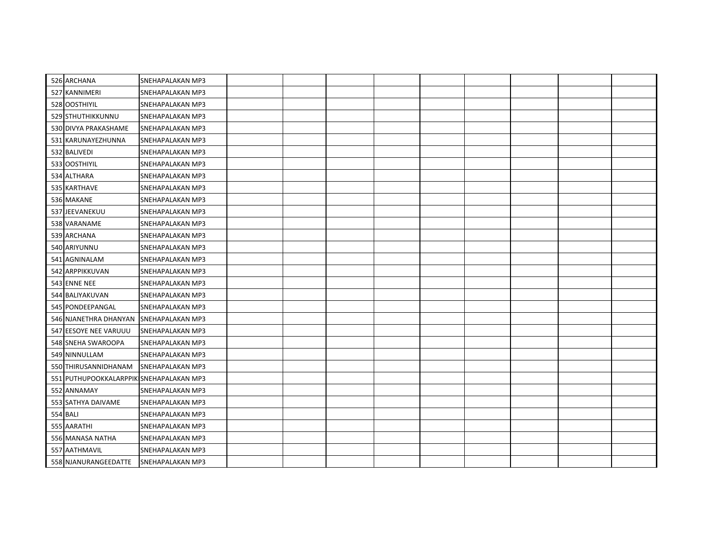| 526 ARCHANA                             | <b>SNEHAPALAKAN MP3</b> |  |  |  |  |  |
|-----------------------------------------|-------------------------|--|--|--|--|--|
| 527 KANNIMERI                           | <b>SNEHAPALAKAN MP3</b> |  |  |  |  |  |
| 528 OOSTHIYIL                           | SNEHAPALAKAN MP3        |  |  |  |  |  |
| 529 STHUTHIKKUNNU                       | <b>SNEHAPALAKAN MP3</b> |  |  |  |  |  |
| 530 DIVYA PRAKASHAME                    | <b>SNEHAPALAKAN MP3</b> |  |  |  |  |  |
| 531 KARUNAYEZHUNNA                      | <b>SNEHAPALAKAN MP3</b> |  |  |  |  |  |
| 532 BALIVEDI                            | SNEHAPALAKAN MP3        |  |  |  |  |  |
| 533 OOSTHIYIL                           | <b>SNEHAPALAKAN MP3</b> |  |  |  |  |  |
| 534 ALTHARA                             | <b>SNEHAPALAKAN MP3</b> |  |  |  |  |  |
| 535 KARTHAVE                            | SNEHAPALAKAN MP3        |  |  |  |  |  |
| 536 MAKANE                              | <b>SNEHAPALAKAN MP3</b> |  |  |  |  |  |
| 537 JEEVANEKUU                          | SNEHAPALAKAN MP3        |  |  |  |  |  |
| 538 VARANAME                            | <b>SNEHAPALAKAN MP3</b> |  |  |  |  |  |
| 539 ARCHANA                             | <b>SNEHAPALAKAN MP3</b> |  |  |  |  |  |
| 540 ARIYUNNU                            | <b>SNEHAPALAKAN MP3</b> |  |  |  |  |  |
| 541 AGNINALAM                           | SNEHAPALAKAN MP3        |  |  |  |  |  |
| 542 ARPPIKKUVAN                         | <b>SNEHAPALAKAN MP3</b> |  |  |  |  |  |
| 543 ENNE NEE                            | SNEHAPALAKAN MP3        |  |  |  |  |  |
| 544 BALIYAKUVAN                         | SNEHAPALAKAN MP3        |  |  |  |  |  |
| 545 PONDEEPANGAL                        | SNEHAPALAKAN MP3        |  |  |  |  |  |
| 546 NJANETHRA DHANYAN SNEHAPALAKAN MP3  |                         |  |  |  |  |  |
| 547 EESOYE NEE VARUUU                   | SNEHAPALAKAN MP3        |  |  |  |  |  |
| 548 SNEHA SWAROOPA                      | SNEHAPALAKAN MP3        |  |  |  |  |  |
| 549 NINNULLAM                           | SNEHAPALAKAN MP3        |  |  |  |  |  |
| 550 THIRUSANNIDHANAM                    | SNEHAPALAKAN MP3        |  |  |  |  |  |
| 551 PUTHUPOOKKALARPPIK SNEHAPALAKAN MP3 |                         |  |  |  |  |  |
| 552 ANNAMAY                             | SNEHAPALAKAN MP3        |  |  |  |  |  |
| 553 SATHYA DAIVAME                      | <b>SNEHAPALAKAN MP3</b> |  |  |  |  |  |
| <b>554 BALI</b>                         | SNEHAPALAKAN MP3        |  |  |  |  |  |
| 555 AARATHI                             | <b>SNEHAPALAKAN MP3</b> |  |  |  |  |  |
| 556 MANASA NATHA                        | SNEHAPALAKAN MP3        |  |  |  |  |  |
| 557 AATHMAVIL                           | SNEHAPALAKAN MP3        |  |  |  |  |  |
| 558 NJANURANGEEDATTE                    | SNEHAPALAKAN MP3        |  |  |  |  |  |
|                                         |                         |  |  |  |  |  |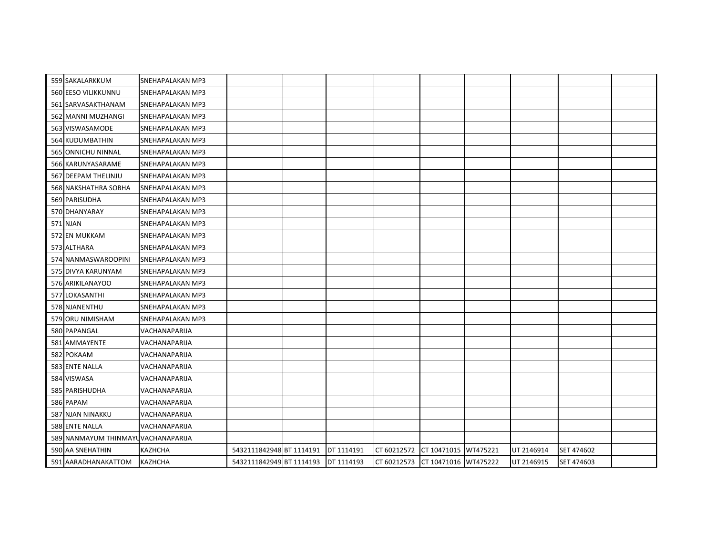| 559 SAKALARKKUM                    | <b>SNEHAPALAKAN MP3</b> |                          |            |             |                      |          |            |            |  |
|------------------------------------|-------------------------|--------------------------|------------|-------------|----------------------|----------|------------|------------|--|
| 560 EESO VILIKKUNNU                | SNEHAPALAKAN MP3        |                          |            |             |                      |          |            |            |  |
| 561 SARVASAKTHANAM                 | <b>SNEHAPALAKAN MP3</b> |                          |            |             |                      |          |            |            |  |
| 562 MANNI MUZHANGI                 | SNEHAPALAKAN MP3        |                          |            |             |                      |          |            |            |  |
| 563 VISWASAMODE                    | <b>SNEHAPALAKAN MP3</b> |                          |            |             |                      |          |            |            |  |
| 564 KUDUMBATHIN                    | SNEHAPALAKAN MP3        |                          |            |             |                      |          |            |            |  |
| 565 ONNICHU NINNAL                 | SNEHAPALAKAN MP3        |                          |            |             |                      |          |            |            |  |
| 566 KARUNYASARAME                  | SNEHAPALAKAN MP3        |                          |            |             |                      |          |            |            |  |
| 567 DEEPAM THELINJU                | <b>SNEHAPALAKAN MP3</b> |                          |            |             |                      |          |            |            |  |
| 568 NAKSHATHRA SOBHA               | <b>SNEHAPALAKAN MP3</b> |                          |            |             |                      |          |            |            |  |
| 569 PARISUDHA                      | SNEHAPALAKAN MP3        |                          |            |             |                      |          |            |            |  |
| 570 DHANYARAY                      | SNEHAPALAKAN MP3        |                          |            |             |                      |          |            |            |  |
| 571 NJAN                           | SNEHAPALAKAN MP3        |                          |            |             |                      |          |            |            |  |
| 572 EN MUKKAM                      | SNEHAPALAKAN MP3        |                          |            |             |                      |          |            |            |  |
| 573 ALTHARA                        | <b>SNEHAPALAKAN MP3</b> |                          |            |             |                      |          |            |            |  |
| 574 NANMASWAROOPINI                | <b>SNEHAPALAKAN MP3</b> |                          |            |             |                      |          |            |            |  |
| 575 DIVYA KARUNYAM                 | <b>SNEHAPALAKAN MP3</b> |                          |            |             |                      |          |            |            |  |
| 576 ARIKILANAYOO                   | SNEHAPALAKAN MP3        |                          |            |             |                      |          |            |            |  |
| 577 LOKASANTHI                     | SNEHAPALAKAN MP3        |                          |            |             |                      |          |            |            |  |
| 578 NJANENTHU                      | SNEHAPALAKAN MP3        |                          |            |             |                      |          |            |            |  |
| 579 ORU NIMISHAM                   | SNEHAPALAKAN MP3        |                          |            |             |                      |          |            |            |  |
| 580 PAPANGAL                       | VACHANAPARIJA           |                          |            |             |                      |          |            |            |  |
| 581 AMMAYENTE                      | VACHANAPARIJA           |                          |            |             |                      |          |            |            |  |
| 582 POKAAM                         | VACHANAPARIJA           |                          |            |             |                      |          |            |            |  |
| 583 ENTE NALLA                     | VACHANAPARIJA           |                          |            |             |                      |          |            |            |  |
| 584 VISWASA                        | VACHANAPARIJA           |                          |            |             |                      |          |            |            |  |
| 585 PARISHUDHA                     | VACHANAPARIJA           |                          |            |             |                      |          |            |            |  |
| 586 PAPAM                          | VACHANAPARIJA           |                          |            |             |                      |          |            |            |  |
| 587 NJAN NINAKKU                   | VACHANAPARIJA           |                          |            |             |                      |          |            |            |  |
| 588 ENTE NALLA                     | VACHANAPARIJA           |                          |            |             |                      |          |            |            |  |
| 589 NANMAYUM THINMAYUVACHANAPARIJA |                         |                          |            |             |                      |          |            |            |  |
| 590 AA SNEHATHIN                   | <b>KAZHCHA</b>          | 5432111842948 BT 1114191 | DT 1114191 | CT 60212572 | CT 10471015          | WT475221 | UT 2146914 | SET 474602 |  |
| 591 AARADHANAKATTOM                | <b>KAZHCHA</b>          | 5432111842949 BT 1114193 | DT 1114193 | CT 60212573 | CT 10471016 WT475222 |          | UT 2146915 | SET 474603 |  |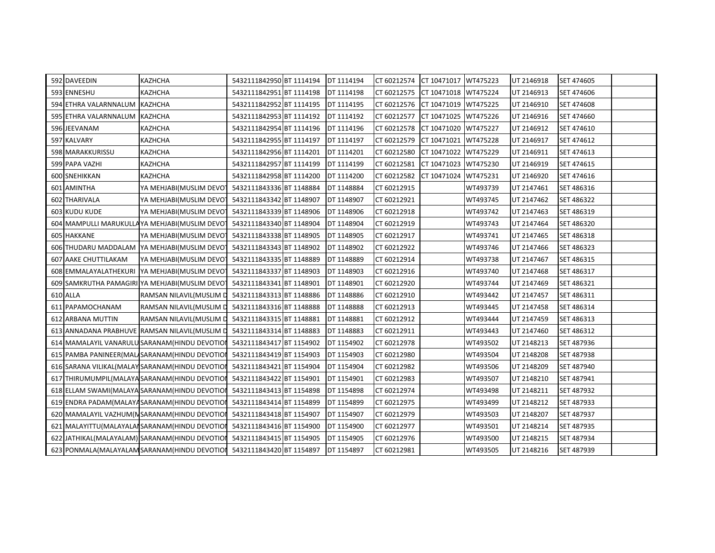| 592 DAVEEDIN                | KAZHCHA                                           | 5432111842950 BT 1114194 | DT 1114194 | CT 60212574 CT 10471017 WT475223 |                      |          | UT 2146918 | SET 474605 |  |
|-----------------------------|---------------------------------------------------|--------------------------|------------|----------------------------------|----------------------|----------|------------|------------|--|
| 593 ENNESHU                 | <b>KAZHCHA</b>                                    | 5432111842951 BT 1114198 | DT 1114198 | CT 60212575                      | CT 10471018 WT475224 |          | UT 2146913 | SET 474606 |  |
| 594 ETHRA VALARNNALUM       | <b>KAZHCHA</b>                                    | 5432111842952 BT 1114195 | DT 1114195 | CT 60212576                      | CT 10471019 WT475225 |          | UT 2146910 | SET 474608 |  |
| 595 ETHRA VALARNNALUM       | <b>KAZHCHA</b>                                    | 5432111842953 BT 1114192 | DT 1114192 | CT 60212577                      | CT 10471025          | WT475226 | UT 2146916 | SET 474660 |  |
| 596 JEEVANAM                | <b>KAZHCHA</b>                                    | 5432111842954 BT 1114196 | DT 1114196 | CT 60212578                      | CT 10471020 WT475227 |          | UT 2146912 | SET 474610 |  |
| 597 KALVARY                 | KAZHCHA                                           | 5432111842955 BT 1114197 | DT 1114197 | CT 60212579                      | CT 10471021          | WT475228 | UT 2146917 | SET 474612 |  |
| 598 MARAKKURISSU            | KAZHCHA                                           | 5432111842956 BT 1114201 | DT 1114201 | CT 60212580                      | CT 10471022          | WT475229 | UT 2146911 | SET 474613 |  |
| 599 PAPA VAZHI              | KAZHCHA                                           | 5432111842957 BT 1114199 | DT 1114199 | CT 60212581                      | CT 10471023 WT475230 |          | UT 2146919 | SET 474615 |  |
| 600 SNEHIKKAN               | KAZHCHA                                           | 5432111842958 BT 1114200 | DT 1114200 | CT 60212582                      | CT 10471024          | WT475231 | UT 2146920 | SET 474616 |  |
| 601 AMINTHA                 | YA MEHJABI(MUSLIM DEVOT                           | 5432111843336 BT 1148884 | DT 1148884 | CT 60212915                      |                      | WT493739 | UT 2147461 | SET 486316 |  |
| 602 THARIVALA               | YA MEHJABI(MUSLIM DEVOT                           | 5432111843342 BT 1148907 | DT 1148907 | CT 60212921                      |                      | WT493745 | UT 2147462 | SET 486322 |  |
| 603 KUDU KUDE               | YA MEHJABI(MUSLIM DEVOT                           | 5432111843339 BT 1148906 | DT 1148906 | CT 60212918                      |                      | WT493742 | UT 2147463 | SET 486319 |  |
|                             | 604 MAMPULLI MARUKULLA YA MEHJABI (MUSLIM DEVO    | 5432111843340 BT 1148904 | DT 1148904 | CT 60212919                      |                      | WT493743 | UT 2147464 | SET 486320 |  |
| 605 HAKKANE                 | YA MEHJABI(MUSLIM DEVOT                           | 5432111843338 BT 1148905 | DT 1148905 | CT 60212917                      |                      | WT493741 | UT 2147465 | SET 486318 |  |
|                             | 606 THUDARU MADDALAM YA MEHJABI (MUSLIM DEVO      | 5432111843343 BT 1148902 | DT 1148902 | CT 60212922                      |                      | WT493746 | UT 2147466 | SET 486323 |  |
| <b>607 AAKE CHUTTILAKAM</b> | YA MEHJABI(MUSLIM DEVOT                           | 5432111843335 BT 1148889 | DT 1148889 | CT 60212914                      |                      | WT493738 | UT 2147467 | SET 486315 |  |
|                             | 608 EMMALAYALATHEKURI YA MEHJABI(MUSLIM DEVOT     | 5432111843337 BT 1148903 | DT 1148903 | CT 60212916                      |                      | WT493740 | UT 2147468 | SET 486317 |  |
|                             | 609 SAMKRUTHA PAMAGIRI YA MEHJABI (MUSLIM DEVO    | 5432111843341 BT 1148901 | DT 1148901 | CT 60212920                      |                      | WT493744 | UT 2147469 | SET 486321 |  |
| 610 ALLA                    | RAMSAN NILAVIL(MUSLIM D                           | 5432111843313 BT 1148886 | DT 1148886 | CT 60212910                      |                      | WT493442 | UT 2147457 | SET 486311 |  |
| 611 PAPAMOCHANAM            | RAMSAN NILAVIL(MUSLIM D                           | 5432111843316 BT 1148888 | DT 1148888 | CT 60212913                      |                      | WT493445 | UT 2147458 | SET 486314 |  |
| 612 ARBANA MUTTIN           | RAMSAN NILAVIL(MUSLIM D                           | 5432111843315 BT 1148881 | DT 1148881 | CT 60212912                      |                      | WT493444 | UT 2147459 | SET 486313 |  |
|                             | 613 ANNADANA PRABHUVE RAMSAN NILAVIL(MUSLIM D     | 5432111843314 BT 1148883 | DT 1148883 | CT 60212911                      |                      | WT493443 | UT 2147460 | SET 486312 |  |
|                             | 614 MAMALAYIL VANARULU SARANAM (HINDU DEVOTION    | 5432111843417 BT 1154902 | DT 1154902 | CT 60212978                      |                      | WT493502 | UT 2148213 | SET 487936 |  |
|                             | 615 PAMBA PANINEER(MAL SARANAM(HINDU DEVOTION     | 5432111843419 BT 1154903 | DT 1154903 | CT 60212980                      |                      | WT493504 | UT 2148208 | SET 487938 |  |
|                             | 616 SARANA VILIKAL (MALAY SARANAM (HINDU DEVOTION | 5432111843421 BT 1154904 | DT 1154904 | CT 60212982                      |                      | WT493506 | UT 2148209 | SET 487940 |  |
|                             | 617 THIRUMUMPIL(MALAYA SARANAM(HINDU DEVOTIO      | 5432111843422 BT 1154901 | DT 1154901 | CT 60212983                      |                      | WT493507 | UT 2148210 | SET 487941 |  |
|                             | 618 ELLAM SWAMI(MALAYA SARANAM(HINDU DEVOTION     | 5432111843413 BT 1154898 | DT 1154898 | CT 60212974                      |                      | WT493498 | UT 2148211 | SET 487932 |  |
|                             | 619 ENDRA PADAM(MALAYA SARANAM(HINDU DEVOTIOI     | 5432111843414 BT 1154899 | DT 1154899 | CT 60212975                      |                      | WT493499 | UT 2148212 | SET 487933 |  |
|                             | 620 MAMALAYIL VAZHUM(N SARANAM (HINDU DEVOTIOI    | 5432111843418 BT 1154907 | DT 1154907 | CT 60212979                      |                      | WT493503 | UT 2148207 | SET 487937 |  |
|                             | 621 MALAYITTU (MALAYALAI SARANAM (HINDU DEVOTION  | 5432111843416 BT 1154900 | DT 1154900 | CT 60212977                      |                      | WT493501 | UT 2148214 | SET 487935 |  |
|                             | 622 JATHIKAL(MALAYALAM) SARANAM(HINDU DEVOTION    | 5432111843415 BT 1154905 | DT 1154905 | CT 60212976                      |                      | WT493500 | UT 2148215 | SET 487934 |  |
|                             | 623 PONMALA (MALAYALAM SARANAM (HINDU DEVOTION    | 5432111843420 BT 1154897 | DT 1154897 | CT 60212981                      |                      | WT493505 | UT 2148216 | SET 487939 |  |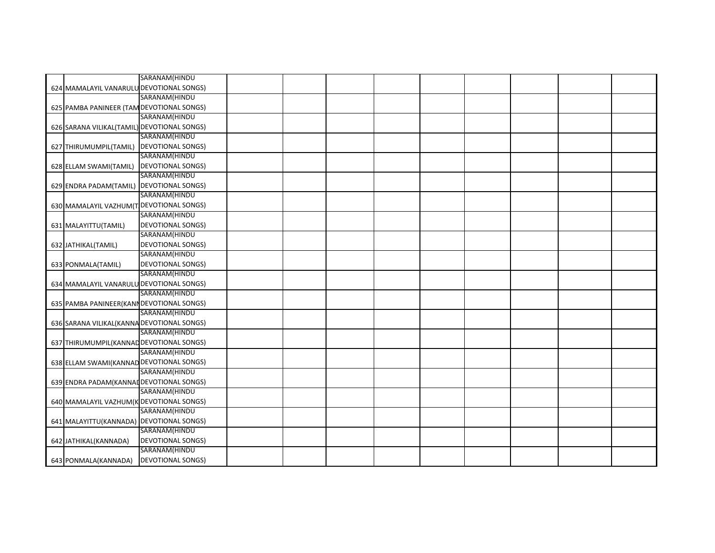|                                             | SARANAM(HINDU            |  |  |  |  |  |
|---------------------------------------------|--------------------------|--|--|--|--|--|
| 624 MAMALAYIL VANARULU DEVOTIONAL SONGS)    |                          |  |  |  |  |  |
|                                             | SARANAM(HINDU            |  |  |  |  |  |
| 625 PAMBA PANINEER (TAM DEVOTIONAL SONGS)   |                          |  |  |  |  |  |
|                                             | SARANAM(HINDU            |  |  |  |  |  |
| 626 SARANA VILIKAL(TAMIL) DEVOTIONAL SONGS) |                          |  |  |  |  |  |
|                                             | SARANAM(HINDU            |  |  |  |  |  |
| 627 THIRUMUMPIL(TAMIL) DEVOTIONAL SONGS)    |                          |  |  |  |  |  |
|                                             | SARANAM(HINDU            |  |  |  |  |  |
| 628 ELLAM SWAMI(TAMIL)                      | <b>DEVOTIONAL SONGS)</b> |  |  |  |  |  |
|                                             | SARANAM(HINDU            |  |  |  |  |  |
| 629 ENDRA PADAM(TAMIL) DEVOTIONAL SONGS)    |                          |  |  |  |  |  |
|                                             | SARANAM(HINDU            |  |  |  |  |  |
| 630 MAMALAYIL VAZHUM(T DEVOTIONAL SONGS)    |                          |  |  |  |  |  |
|                                             | SARANAM(HINDU            |  |  |  |  |  |
| 631 MALAYITTU(TAMIL)                        | <b>DEVOTIONAL SONGS)</b> |  |  |  |  |  |
|                                             | SARANAM(HINDU            |  |  |  |  |  |
| 632 JATHIKAL(TAMIL)                         | <b>DEVOTIONAL SONGS)</b> |  |  |  |  |  |
|                                             | SARANAM(HINDU            |  |  |  |  |  |
| 633 PONMALA (TAMIL)                         | <b>DEVOTIONAL SONGS)</b> |  |  |  |  |  |
|                                             | SARANAM(HINDU            |  |  |  |  |  |
| 634 MAMALAYIL VANARULU DEVOTIONAL SONGS)    |                          |  |  |  |  |  |
|                                             | SARANAM(HINDU            |  |  |  |  |  |
| 635 PAMBA PANINEER(KANI DEVOTIONAL SONGS)   |                          |  |  |  |  |  |
|                                             | SARANAM(HINDU            |  |  |  |  |  |
| 636 SARANA VILIKAL (KANNA DEVOTIONAL SONGS) |                          |  |  |  |  |  |
|                                             | SARANAM(HINDU            |  |  |  |  |  |
| 637 THIRUMUMPIL(KANNAD DEVOTIONAL SONGS)    |                          |  |  |  |  |  |
|                                             | SARANAM(HINDU            |  |  |  |  |  |
| 638 ELLAM SWAMI(KANNAD DEVOTIONAL SONGS)    |                          |  |  |  |  |  |
|                                             | SARANAM(HINDU            |  |  |  |  |  |
| 639 ENDRA PADAM (KANNAI DEVOTIONAL SONGS)   |                          |  |  |  |  |  |
|                                             | SARANAM(HINDU            |  |  |  |  |  |
| 640 MAMALAYIL VAZHUM(K DEVOTIONAL SONGS)    |                          |  |  |  |  |  |
|                                             | SARANAM(HINDU            |  |  |  |  |  |
| 641 MALAYITTU(KANNADA) DEVOTIONAL SONGS)    |                          |  |  |  |  |  |
|                                             | SARANAM(HINDU            |  |  |  |  |  |
| 642 JATHIKAL(KANNADA)                       | <b>DEVOTIONAL SONGS)</b> |  |  |  |  |  |
|                                             | SARANAM(HINDU            |  |  |  |  |  |
| 643 PONMALA(KANNADA)                        | <b>DEVOTIONAL SONGS)</b> |  |  |  |  |  |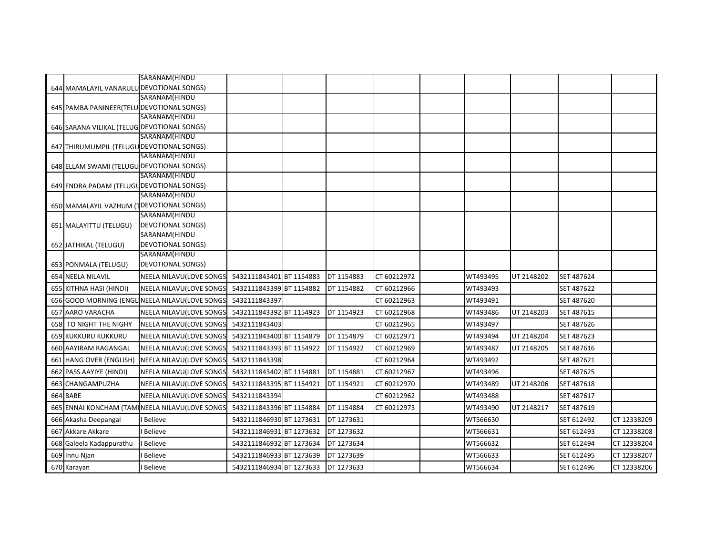|                                             | SARANAM(HINDU                                  |                          |            |             |          |            |            |             |
|---------------------------------------------|------------------------------------------------|--------------------------|------------|-------------|----------|------------|------------|-------------|
| 644 MAMALAYIL VANARULU DEVOTIONAL SONGS)    |                                                |                          |            |             |          |            |            |             |
|                                             | SARANAM(HINDU                                  |                          |            |             |          |            |            |             |
| 645 PAMBA PANINEER(TELU DEVOTIONAL SONGS)   |                                                |                          |            |             |          |            |            |             |
|                                             | SARANAM(HINDU                                  |                          |            |             |          |            |            |             |
| 646 SARANA VILIKAL (TELUG DEVOTIONAL SONGS) |                                                |                          |            |             |          |            |            |             |
|                                             | SARANAM(HINDU                                  |                          |            |             |          |            |            |             |
| 647 THIRUMUMPIL (TELUGU DEVOTIONAL SONGS)   |                                                |                          |            |             |          |            |            |             |
|                                             | SARANAM(HINDU                                  |                          |            |             |          |            |            |             |
| 648 ELLAM SWAMI (TELUGU DEVOTIONAL SONGS)   |                                                |                          |            |             |          |            |            |             |
|                                             | SARANAM(HINDU                                  |                          |            |             |          |            |            |             |
| 649 ENDRA PADAM (TELUGUDEVOTIONAL SONGS)    |                                                |                          |            |             |          |            |            |             |
|                                             | SARANAM(HINDU                                  |                          |            |             |          |            |            |             |
| 650 MAMALAYIL VAZHUM (TDEVOTIONAL SONGS)    | SARANAM(HINDU                                  |                          |            |             |          |            |            |             |
| 651 MALAYITTU (TELUGU)                      | <b>DEVOTIONAL SONGS)</b>                       |                          |            |             |          |            |            |             |
|                                             | SARANAM(HINDU                                  |                          |            |             |          |            |            |             |
| 652 JATHIKAL (TELUGU)                       | DEVOTIONAL SONGS)                              |                          |            |             |          |            |            |             |
|                                             | SARANAM(HINDU                                  |                          |            |             |          |            |            |             |
| 653 PONMALA (TELUGU)                        | <b>DEVOTIONAL SONGS)</b>                       |                          |            |             |          |            |            |             |
| 654 NEELA NILAVIL                           | NEELA NILAVU(LOVE SONGS                        | 5432111843401 BT 1154883 | DT 1154883 | CT 60212972 | WT493495 | UT 2148202 | SET 487624 |             |
| 655 KITHNA HASI (HINDI)                     | NEELA NILAVU(LOVE SONGS                        | 5432111843399 BT 1154882 | DT 1154882 | CT 60212966 | WT493493 |            | SET 487622 |             |
|                                             | 656 GOOD MORNING (ENGL NEELA NILAVU(LOVE SONGS | 5432111843397            |            | CT 60212963 | WT493491 |            | SET 487620 |             |
| 657 AARO VARACHA                            | NEELA NILAVU(LOVE SONGS                        | 5432111843392 BT 1154923 | DT 1154923 | CT 60212968 | WT493486 | UT 2148203 | SET 487615 |             |
| 658 TO NIGHT THE NIGHY                      | NEELA NILAVU(LOVE SONGS                        | 5432111843403            |            | CT 60212965 | WT493497 |            | SET 487626 |             |
| 659 KUKKURU KUKKURU                         | NEELA NILAVU(LOVE SONGS                        | 5432111843400 BT 1154879 | DT 1154879 | CT 60212971 | WT493494 | UT 2148204 | SET 487623 |             |
| 660 AAYIRAM RAGANGAL                        | NEELA NILAVU(LOVE SONGS                        | 5432111843393 BT 1154922 | DT 1154922 | CT 60212969 | WT493487 | UT 2148205 | SET 487616 |             |
| 661 HANG OVER (ENGLISH)                     | NEELA NILAVU(LOVE SONGS                        | 5432111843398            |            | CT 60212964 | WT493492 |            | SET 487621 |             |
| 662 PASS AAYIYE (HINDI)                     | NEELA NILAVU(LOVE SONGS                        | 5432111843402 BT 1154881 | DT 1154881 | CT 60212967 | WT493496 |            | SET 487625 |             |
| 663 CHANGAMPUZHA                            | NEELA NILAVU(LOVE SONGS                        | 5432111843395 BT 1154921 | DT 1154921 | CT 60212970 | WT493489 | UT 2148206 | SET 487618 |             |
| 664 BABE                                    | NEELA NILAVU(LOVE SONGS                        | 5432111843394            |            | CT 60212962 | WT493488 |            | SET 487617 |             |
|                                             | 665 ENNAI KONCHAM (TAM NEELA NILAVU(LOVE SONGS | 5432111843396 BT 1154884 | DT 1154884 | CT 60212973 | WT493490 | UT 2148217 | SET 487619 |             |
| 666 Akasha Deepangal                        | Believe                                        | 5432111846930 BT 1273631 | DT 1273631 |             | WT566630 |            | SET 612492 | CT 12338209 |
| 667 Akkare Akkare                           | Believe                                        | 5432111846931 BT 1273632 | DT 1273632 |             | WT566631 |            | SET 612493 | CT 12338208 |
| 668 Galeela Kadappurathu                    | <b>Believe</b>                                 | 5432111846932 BT 1273634 | DT 1273634 |             | WT566632 |            | SET 612494 | CT 12338204 |
| 669 Innu Njan                               | Believe                                        | 5432111846933 BT 1273639 | DT 1273639 |             | WT566633 |            | SET 612495 | CT 12338207 |
| 670 Karayan                                 | Believe                                        | 5432111846934 BT 1273633 | DT 1273633 |             | WT566634 |            | SET 612496 | CT 12338206 |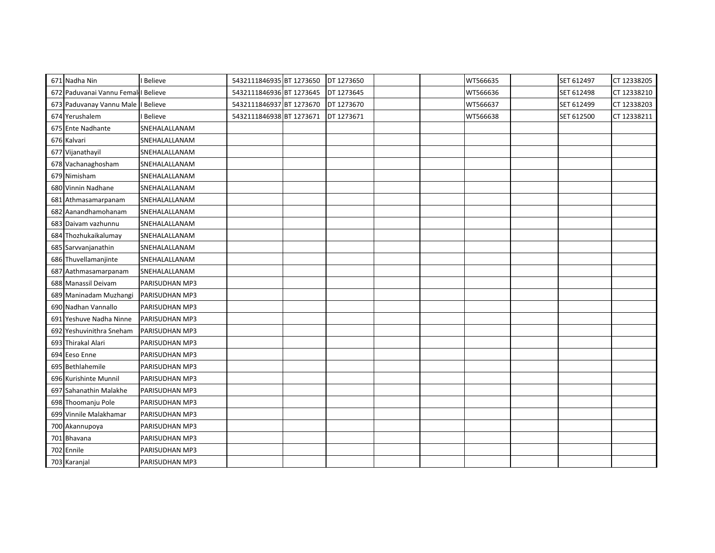| 671 Nadha Nin                       | Believe               | 5432111846935 BT 1273650 | DT 1273650 |  | WT566635 | SET 612497 | CT 12338205 |
|-------------------------------------|-----------------------|--------------------------|------------|--|----------|------------|-------------|
| 672 Paduvanai Vannu Femal I Believe |                       | 5432111846936 BT 1273645 | DT 1273645 |  | WT566636 | SET 612498 | CT 12338210 |
| 673 Paduvanay Vannu Male I Believe  |                       | 5432111846937 BT 1273670 | DT 1273670 |  | WT566637 | SET 612499 | CT 12338203 |
| 674 Yerushalem                      | Believe               | 5432111846938 BT 1273671 | DT 1273671 |  | WT566638 | SET 612500 | CT 12338211 |
| 675 Ente Nadhante                   | SNEHALALLANAM         |                          |            |  |          |            |             |
| 676 Kalvari                         | SNEHALALLANAM         |                          |            |  |          |            |             |
| 677 Vijanathayil                    | SNEHALALLANAM         |                          |            |  |          |            |             |
| 678 Vachanaghosham                  | SNEHALALLANAM         |                          |            |  |          |            |             |
| 679 Nimisham                        | SNEHALALLANAM         |                          |            |  |          |            |             |
| 680 Vinnin Nadhane                  | SNEHALALLANAM         |                          |            |  |          |            |             |
| 681 Athmasamarpanam                 | SNEHALALLANAM         |                          |            |  |          |            |             |
| 682 Aanandhamohanam                 | SNEHALALLANAM         |                          |            |  |          |            |             |
| 683 Daivam vazhunnu                 | SNEHALALLANAM         |                          |            |  |          |            |             |
| 684 Thozhukaikalumay                | SNEHALALLANAM         |                          |            |  |          |            |             |
| 685 Sarvvanjanathin                 | SNEHALALLANAM         |                          |            |  |          |            |             |
| 686 Thuvellamanjinte                | SNEHALALLANAM         |                          |            |  |          |            |             |
| 687 Aathmasamarpanam                | SNEHALALLANAM         |                          |            |  |          |            |             |
| 688 Manassil Deivam                 | PARISUDHAN MP3        |                          |            |  |          |            |             |
| 689 Maninadam Muzhangi              | PARISUDHAN MP3        |                          |            |  |          |            |             |
| 690 Nadhan Vannallo                 | PARISUDHAN MP3        |                          |            |  |          |            |             |
| 691 Yeshuve Nadha Ninne             | PARISUDHAN MP3        |                          |            |  |          |            |             |
| 692 Yeshuvinithra Sneham            | <b>PARISUDHAN MP3</b> |                          |            |  |          |            |             |
| 693 Thirakal Alari                  | PARISUDHAN MP3        |                          |            |  |          |            |             |
| 694 Eeso Enne                       | PARISUDHAN MP3        |                          |            |  |          |            |             |
| 695 Bethlahemile                    | PARISUDHAN MP3        |                          |            |  |          |            |             |
| 696 Kurishinte Munnil               | PARISUDHAN MP3        |                          |            |  |          |            |             |
| 697 Sahanathin Malakhe              | PARISUDHAN MP3        |                          |            |  |          |            |             |
| 698 Thoomanju Pole                  | <b>PARISUDHAN MP3</b> |                          |            |  |          |            |             |
| 699 Vinnile Malakhamar              | PARISUDHAN MP3        |                          |            |  |          |            |             |
| 700 Akannupoya                      | PARISUDHAN MP3        |                          |            |  |          |            |             |
| 701 Bhavana                         | PARISUDHAN MP3        |                          |            |  |          |            |             |
| 702 Ennile                          | PARISUDHAN MP3        |                          |            |  |          |            |             |
| 703 Karanjal                        | PARISUDHAN MP3        |                          |            |  |          |            |             |